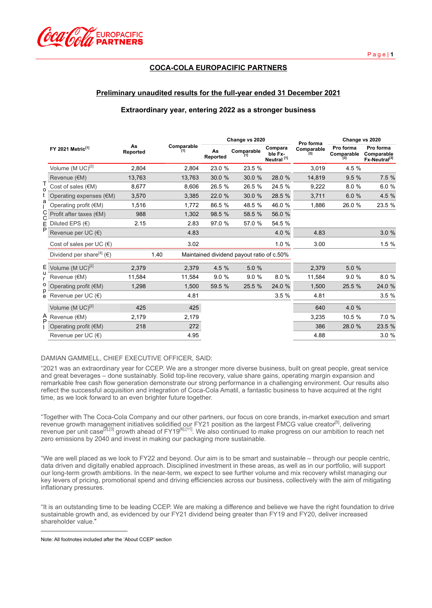

## **COCA-COLA EUROPACIFIC PARTNERS**

## **Preliminary unaudited results for the full-year ended 31 December 2021**

## **Extraordinary year, entering 2022 as a stronger business**

|                              |                                             |                |                   | Change vs 2020 |                                           |                                              | Pro forma              | Change vs 2020                 |                                                      |
|------------------------------|---------------------------------------------|----------------|-------------------|----------------|-------------------------------------------|----------------------------------------------|------------------------|--------------------------------|------------------------------------------------------|
|                              | FY 2021 Metric <sup>[1]</sup>               | As<br>Reported | Comparable<br>וו' | As<br>Reported | Comparable<br>[1]                         | Compara<br>ble Fx-<br>Neutral <sup>[1]</sup> | Comparable<br>$^{[3]}$ | Pro forma<br>Comparable<br>[3] | Pro forma<br>Comparable<br>Fx-Neutral <sup>[3]</sup> |
|                              | Volume (M UC) <sup>[2]</sup>                | 2,804          | 2,804             | 23.0 %         | 23.5 %                                    |                                              | 3,019                  | 4.5 %                          |                                                      |
|                              | Revenue (€M)                                | 13,763         | 13,763            | 30.0 %         | 30.0 %                                    | 28.0 %                                       | 14,819                 | 9.5%                           | 7.5 %                                                |
| Т<br>$\Omega$                | Cost of sales (€M)                          | 8,677          | 8,606             | 26.5 %         | 26.5 %                                    | 24.5 %                                       | 9,222                  | 8.0%                           | 6.0%                                                 |
|                              | Operating expenses (€M)                     | 3,570          | 3,385             | 22.0 %         | 30.0 %                                    | 28.5 %                                       | 3,711                  | 6.0%                           | 4.5 %                                                |
| a                            | Operating profit $(\epsilon M)$             | 1,516          | 1,772             | 86.5 %         | 48.5 %                                    | 46.0%                                        | 1,886                  | 26.0 %                         | 23.5 %                                               |
| C<br>C                       | Profit after taxes $(\epsilon M)$           | 988            | 1,302             | 98.5 %         | 58.5 %                                    | 56.0 %                                       |                        |                                |                                                      |
| E<br>P                       | Diluted EPS $(E)$                           | 2.15           | 2.83              | 97.0 %         | 57.0 %                                    | 54.5 %                                       |                        |                                |                                                      |
|                              | Revenue per UC (€)                          |                | 4.83              |                |                                           | 4.0 %                                        | 4.83                   |                                | 3.0 %                                                |
|                              | Cost of sales per UC $(\epsilon)$           |                | 3.02              |                |                                           | 1.0%                                         | 3.00                   |                                | 1.5%                                                 |
|                              | Dividend per share <sup>[4]</sup> ( $\in$ ) |                | 1.40              |                | Maintained dividend payout ratio of c.50% |                                              |                        |                                |                                                      |
| E                            | Volume (M UC) <sup>[2]</sup>                | 2,379          | 2,379             | 4.5 %          | 5.0 %                                     |                                              | 2,379                  | 5.0 %                          |                                                      |
| u<br>r                       | Revenue (€M)                                | 11,584         | 11,584            | 9.0%           | 9.0%                                      | 8.0%                                         | 11,584                 | 9.0%                           | 8.0%                                                 |
| o<br>p                       | Operating profit $(\epsilon M)$             | 1,298          | 1,500             | 59.5 %         | 25.5 %                                    | 24.0 %                                       | 1,500                  | 25.5 %                         | 24.0 %                                               |
| e                            | Revenue per UC (€)                          |                | 4.81              |                |                                           | 3.5%                                         | 4.81                   |                                | 3.5%                                                 |
|                              | Volume (M UC) <sup>[2]</sup>                | 425            | 425               |                |                                           |                                              | 640                    | 4.0 %                          |                                                      |
| $_{\mathsf{P}}^{\mathsf{A}}$ | Revenue (€M)                                | 2,179          | 2,179             |                |                                           |                                              | 3,235                  | 10.5 %                         | 7.0 %                                                |
|                              | Operating profit $(\epsilon M)$             | 218            | 272               |                |                                           |                                              | 386                    | 28.0 %                         | 23.5 %                                               |
|                              | Revenue per UC $(\epsilon)$                 |                | 4.95              |                |                                           |                                              | 4.88                   |                                | 3.0%                                                 |

### DAMIAN GAMMELL, CHIEF EXECUTIVE OFFICER, SAID:

"2021 was an extraordinary year for CCEP. We are a stronger more diverse business, built on great people, great service and great beverages – done sustainably. Solid top-line recovery, value share gains, operating margin expansion and remarkable free cash flow generation demonstrate our strong performance in a challenging environment. Our results also reflect the successful acquisition and integration of Coca-Cola Amatil, a fantastic business to have acquired at the right time, as we look forward to an even brighter future together.

"Together with The Coca-Cola Company and our other partners, our focus on core brands, in-market execution and smart revenue growth management initiatives solidified our FY21 position as the largest FMCG value creator<sup>[5]</sup>, delivering revenue per unit case[2],[3] growth ahead of FY19[6],[11]. We also continued to make progress on our ambition to reach net zero emissions by 2040 and invest in making our packaging more sustainable.

"We are well placed as we look to FY22 and beyond. Our aim is to be smart and sustainable – through our people centric, data driven and digitally enabled approach. Disciplined investment in these areas, as well as in our portfolio, will support our long-term growth ambitions. In the near-term, we expect to see further volume and mix recovery whilst managing our key levers of pricing, promotional spend and driving efficiencies across our business, collectively with the aim of mitigating inflationary pressures.

"It is an outstanding time to be leading CCEP. We are making a difference and believe we have the right foundation to drive sustainable growth and, as evidenced by our FY21 dividend being greater than FY19 and FY20, deliver increased shareholder value."

 $\mathcal{L}_\text{max}$  and  $\mathcal{L}_\text{max}$  and  $\mathcal{L}_\text{max}$  and  $\mathcal{L}_\text{max}$ 

Note: All footnotes included after the 'About CCEP' section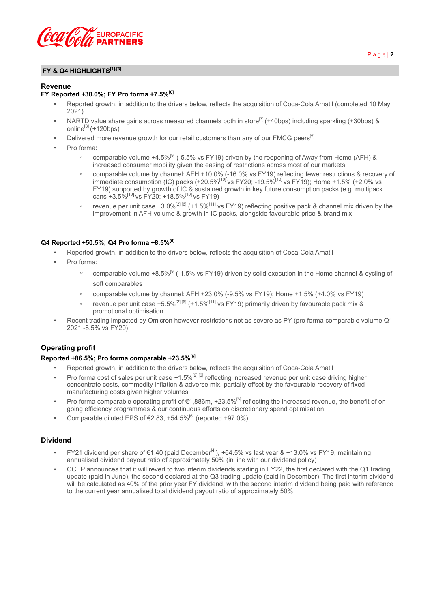

## **FY & Q4 HIGHLIGHTS[1],[3]**

#### **Revenue**

### **FY Reported +30.0%; FY Pro forma +7.5%[6]**

- Reported growth, in addition to the drivers below, reflects the acquisition of Coca-Cola Amatil (completed 10 May 2021)
- NARTD value share gains across measured channels both in store<sup>[7]</sup> (+40bps) including sparkling (+30bps) & online $^{[8]}$  (+120bps)
- Delivered more revenue growth for our retail customers than any of our FMCG peers<sup>[5]</sup>
- Pro forma:
	- comparable volume +4.5% $^{[9]}$  (-5.5% vs FY19) driven by the reopening of Away from Home (AFH) & increased consumer mobility given the easing of restrictions across most of our markets
	- comparable volume by channel: AFH +10.0% (-16.0% vs FY19) reflecting fewer restrictions & recovery of immediate consumption (IC) packs (+20.5%[10] vs FY20; -19.5%[10] vs FY19); Home +1.5% (+2.0% vs FY19) supported by growth of IC & sustained growth in key future consumption packs (e.g. multipack cans  $+3.5\frac{6}{10}$  vs FY20;  $+18.5\frac{6}{10}$  vs FY19)
	- revenue per unit case +3.0%<sup>[2],[6]</sup> (+1.5%<sup>[11]</sup> vs FY19) reflecting positive pack & channel mix driven by the improvement in AFH volume & growth in IC packs, alongside favourable price & brand mix

#### **Q4 Reported +50.5%; Q4 Pro forma +8.5%[6]**

- Reported growth, in addition to the drivers below, reflects the acquisition of Coca-Cola Amatil
- Pro forma:
	- $\degree$  comparable volume +8.5%<sup>[9]</sup> (-1.5% vs FY19) driven by solid execution in the Home channel & cycling of soft comparables
	- comparable volume by channel: AFH +23.0% (-9.5% vs FY19); Home +1.5% (+4.0% vs FY19)
	- revenue per unit case +5.5%<sup>[2],[6]</sup> (+1.5%<sup>[11]</sup> vs FY19) primarily driven by favourable pack mix & promotional optimisation
- Recent trading impacted by Omicron however restrictions not as severe as PY (pro forma comparable volume Q1 2021 -8.5% vs FY20)

## **Operating profit**

#### **Reported +86.5%; Pro forma comparable +23.5%[6]**

- Reported growth, in addition to the drivers below, reflects the acquisition of Coca-Cola Amatil
- Pro forma cost of sales per unit case  $+1.5\%^{[2],[6]}$  reflecting increased revenue per unit case driving higher concentrate costs, commodity inflation & adverse mix, partially offset by the favourable recovery of fixed manufacturing costs given higher volumes
- Pro forma comparable operating profit of  $\epsilon$ 1,886m, +23.5%<sup>[6]</sup> reflecting the increased revenue, the benefit of ongoing efficiency programmes & our continuous efforts on discretionary spend optimisation
- Comparable diluted EPS of  $\epsilon$ 2.83, +54.5%<sup>[6]</sup> (reported +97.0%)

### **Dividend**

- FY21 dividend per share of €1.40 (paid December[4]), +64.5% vs last year & +13.0% vs FY19, maintaining annualised dividend payout ratio of approximately 50% (in line with our dividend policy)
- CCEP announces that it will revert to two interim dividends starting in FY22, the first declared with the Q1 trading update (paid in June), the second declared at the Q3 trading update (paid in December). The first interim dividend will be calculated as 40% of the prior year FY dividend, with the second interim dividend being paid with reference to the current year annualised total dividend payout ratio of approximately 50%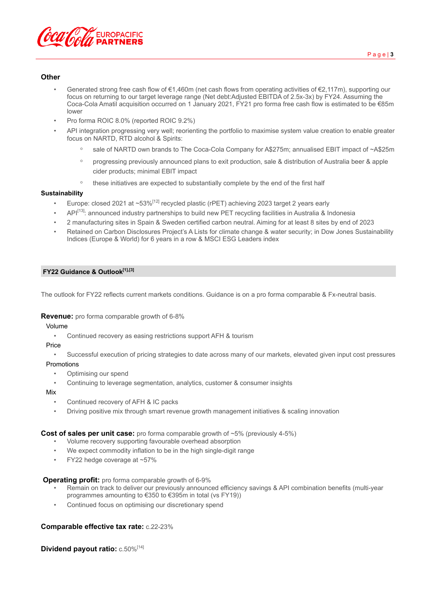

- Generated strong free cash flow of €1,460m (net cash flows from operating activities of €2,117m), supporting our focus on returning to our target leverage range (Net debt:Adjusted EBITDA of 2.5x-3x) by FY24. Assuming the Coca-Cola Amatil acquisition occurred on 1 January 2021, FY21 pro forma free cash flow is estimated to be €85m lower
- Pro forma ROIC 8.0% (reported ROIC 9.2%)
- API integration progressing very well; reorienting the portfolio to maximise system value creation to enable greater focus on NARTD, RTD alcohol & Spirits:
	- sale of NARTD own brands to The Coca-Cola Company for A\$275m; annualised EBIT impact of ~A\$25m
	- progressing previously announced plans to exit production, sale & distribution of Australia beer & apple cider products; minimal EBIT impact
	- these initiatives are expected to substantially complete by the end of the first half

#### **Sustainability**

- Europe: closed 2021 at  $\sim$  53%<sup>[12]</sup> recycled plastic (rPET) achieving 2023 target 2 years early
- API<sup>[13]</sup>: announced industry partnerships to build new PET recycling facilities in Australia & Indonesia
- 2 manufacturing sites in Spain & Sweden certified carbon neutral. Aiming for at least 8 sites by end of 2023
- Retained on Carbon Disclosures Project's A Lists for climate change & water security; in Dow Jones Sustainability Indices (Europe & World) for 6 years in a row & MSCI ESG Leaders index

#### **FY22 Guidance & Outlook[1],[3]**

The outlook for FY22 reflects current markets conditions. Guidance is on a pro forma comparable & Fx-neutral basis.

#### **Revenue:** pro forma comparable growth of 6-8%

#### Volume

• Continued recovery as easing restrictions support AFH & tourism

## **Price**

• Successful execution of pricing strategies to date across many of our markets, elevated given input cost pressures

#### Promotions

- Optimising our spend
- Continuing to leverage segmentation, analytics, customer & consumer insights

#### Mix

- Continued recovery of AFH & IC packs
- Driving positive mix through smart revenue growth management initiatives & scaling innovation

#### **Cost of sales per unit case:** pro forma comparable growth of ~5% (previously 4-5%)

- Volume recovery supporting favourable overhead absorption
- We expect commodity inflation to be in the high single-digit range
- FY22 hedge coverage at ~57%

#### **Operating profit:** pro forma comparable growth of 6-9%

- Remain on track to deliver our previously announced efficiency savings & API combination benefits (multi-year programmes amounting to €350 to €395m in total (vs FY19))
	- Continued focus on optimising our discretionary spend

## **Comparable effective tax rate:** c.22-23%

**Dividend payout ratio:** c.50%<sup>[14]</sup>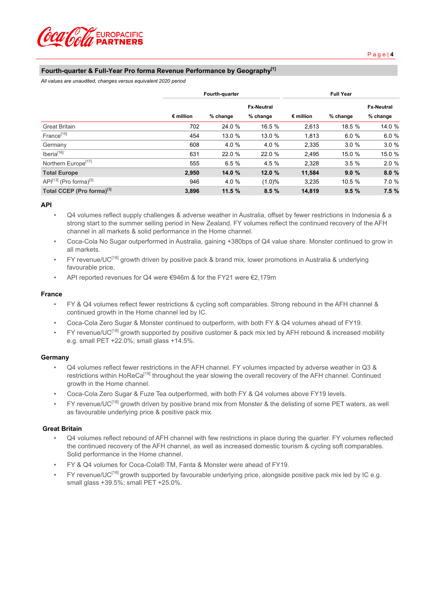

## **Fourth-quarter & Full-Year Pro forma Revenue Performance by Geography[1]**

*All values are unaudited, changes versus equivalent 2020 period*

|                                         |                    | <b>Fourth-quarter</b> |                   | <b>Full Year</b>   |                   |            |  |
|-----------------------------------------|--------------------|-----------------------|-------------------|--------------------|-------------------|------------|--|
|                                         |                    |                       | <b>Fx-Neutral</b> |                    | <b>Fx-Neutral</b> |            |  |
|                                         | $\epsilon$ million | % change              | $%$ change        | $\epsilon$ million | % change          | $%$ change |  |
| <b>Great Britain</b>                    | 702                | 24.0 %                | 16.5%             | 2,613              | 18.5%             | 14.0 %     |  |
| France <sup>[15]</sup>                  | 454                | 13.0 %                | 13.0 %            | 1,813              | 6.0%              | 6.0%       |  |
| Germany                                 | 608                | 4.0 %                 | 4.0 %             | 2,335              | 3.0%              | 3.0%       |  |
| Iberia <sup>[16]</sup>                  | 631                | 22.0 %                | 22.0 %            | 2.495              | 15.0 %            | 15.0 %     |  |
| Northern Europe <sup>[17]</sup>         | 555                | 6.5%                  | 4.5 %             | 2.328              | 3.5%              | 2.0%       |  |
| <b>Total Europe</b>                     | 2,950              | 14.0 %                | 12.0%             | 11,584             | 9.0%              | 8.0%       |  |
| $API^{[13]}$ (Pro forma) <sup>[3]</sup> | 946                | 4.0 %                 | $(1.0)\%$         | 3.235              | 10.5 %            | 7.0 %      |  |
| Total CCEP (Pro forma) <sup>[3]</sup>   | 3,896              | 11.5 %                | 8.5%              | 14,819             | 9.5%              | 7.5%       |  |

#### **API**

- Q4 volumes reflect supply challenges & adverse weather in Australia, offset by fewer restrictions in Indonesia & a strong start to the summer selling period in New Zealand. FY volumes reflect the continued recovery of the AFH channel in all markets & solid performance in the Home channel.
- Coca-Cola No Sugar outperformed in Australia, gaining +380bps of Q4 value share. Monster continued to grow in all markets.
- FY revenue/UC<sup>[18]</sup> growth driven by positive pack & brand mix, lower promotions in Australia & underlying favourable price.
- API reported revenues for Q4 were €946m & for the FY21 were €2,179m

#### **France**

- FY & Q4 volumes reflect fewer restrictions & cycling soft comparables. Strong rebound in the AFH channel & continued growth in the Home channel led by IC.
- Coca-Cola Zero Sugar & Monster continued to outperform, with both FY & Q4 volumes ahead of FY19.
- FY revenue/UC<sup>[18]</sup> growth supported by positive customer & pack mix led by AFH rebound & increased mobility e.g. small PET +22.0%; small glass +14.5%.

#### **Germany**

- Q4 volumes reflect fewer restrictions in the AFH channel. FY volumes impacted by adverse weather in Q3 & restrictions within HoReCa<sup>[19]</sup> throughout the year slowing the overall recovery of the AFH channel. Continued growth in the Home channel.
- Coca-Cola Zero Sugar & Fuze Tea outperformed, with both FY & Q4 volumes above FY19 levels.
- FY revenue/UC<sup>[18]</sup> growth driven by positive brand mix from Monster & the delisting of some PET waters, as well as favourable underlying price & positive pack mix.

#### **Great Britain**

- Q4 volumes reflect rebound of AFH channel with few restrictions in place during the quarter. FY volumes reflected the continued recovery of the AFH channel, as well as increased domestic tourism & cycling soft comparables. Solid performance in the Home channel.
- FY & Q4 volumes for Coca-Cola® TM, Fanta & Monster were ahead of FY19.
- FY revenue/UC<sup>[18]</sup> growth supported by favourable underlying price, alongside positive pack mix led by IC e.g. small glass +39.5%; small PET +25.0%.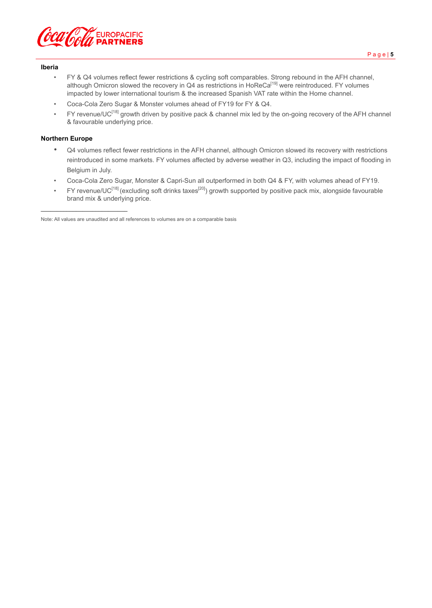

#### **Iberia**

- FY & Q4 volumes reflect fewer restrictions & cycling soft comparables. Strong rebound in the AFH channel, although Omicron slowed the recovery in Q4 as restrictions in HoReCa<sup>[19]</sup> were reintroduced. FY volumes impacted by lower international tourism & the increased Spanish VAT rate within the Home channel.
- Coca-Cola Zero Sugar & Monster volumes ahead of FY19 for FY & Q4.
- FY revenue/UC<sup>[18]</sup> growth driven by positive pack & channel mix led by the on-going recovery of the AFH channel & favourable underlying price.

### **Northern Europe**

\_\_\_\_\_\_\_\_\_\_\_\_\_\_\_\_\_\_\_\_\_\_\_\_\_\_\_

- Q4 volumes reflect fewer restrictions in the AFH channel, although Omicron slowed its recovery with restrictions reintroduced in some markets. FY volumes affected by adverse weather in Q3, including the impact of flooding in Belgium in July.
- Coca-Cola Zero Sugar, Monster & Capri-Sun all outperformed in both Q4 & FY, with volumes ahead of FY19.
- FY revenue/UC<sup>[18]</sup> (excluding soft drinks taxes<sup>[20]</sup>) growth supported by positive pack mix, alongside favourable brand mix & underlying price.

Note: All values are unaudited and all references to volumes are on a comparable basis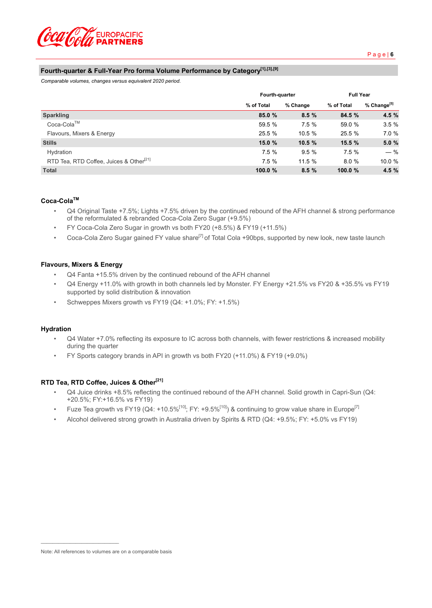

## **Fourth-quarter & Full-Year Pro forma Volume Performance by Category[1],[3],[9]**

*Comparable volumes, changes versus equivalent 2020 period.*

|                                                     | <b>Fourth-quarter</b> |          | <b>Full Year</b> |                         |  |
|-----------------------------------------------------|-----------------------|----------|------------------|-------------------------|--|
|                                                     | % of Total            | % Change | % of Total       | % Change <sup>[5]</sup> |  |
| <b>Sparkling</b>                                    | 85.0%                 | 8.5%     | 84.5 %           | 4.5 %                   |  |
| Coca-Cola™                                          | 59.5 %                | 7.5%     | 59.0 %           | 3.5%                    |  |
| Flavours, Mixers & Energy                           | 25.5 %                | 10.5%    | 25.5 %           | 7.0 %                   |  |
| <b>Stills</b>                                       | 15.0%                 | 10.5%    | 15.5 %           | 5.0%                    |  |
| Hydration                                           | 7.5%                  | 9.5%     | 7.5%             | $-$ %                   |  |
| RTD Tea, RTD Coffee, Juices & Other <sup>[21]</sup> | 7.5%                  | 11.5%    | 8.0%             | 10.0 %                  |  |
| <b>Total</b>                                        | 100.0 $%$             | 8.5%     | 100.0 $%$        | 4.5 $%$                 |  |

#### **Coca-ColaTM**

- Q4 Original Taste +7.5%; Lights +7.5% driven by the continued rebound of the AFH channel & strong performance of the reformulated & rebranded Coca-Cola Zero Sugar (+9.5%)
- FY Coca-Cola Zero Sugar in growth vs both FY20 (+8.5%) & FY19 (+11.5%)
- Coca-Cola Zero Sugar gained FY value share<sup>[7]</sup> of Total Cola +90bps, supported by new look, new taste launch

#### **Flavours, Mixers & Energy**

- Q4 Fanta +15.5% driven by the continued rebound of the AFH channel
- Q4 Energy +11.0% with growth in both channels led by Monster. FY Energy +21.5% vs FY20 & +35.5% vs FY19 supported by solid distribution & innovation
- Schweppes Mixers growth vs FY19 (Q4: +1.0%; FY: +1.5%)

#### **Hydration**

- Q4 Water +7.0% reflecting its exposure to IC across both channels, with fewer restrictions & increased mobility during the quarter
- FY Sports category brands in API in growth vs both FY20 (+11.0%) & FY19 (+9.0%)

### **RTD Tea, RTD Coffee, Juices & Other[21]**

- Q4 Juice drinks +8.5% reflecting the continued rebound of the AFH channel. Solid growth in Capri-Sun (Q4: +20.5%; FY:+16.5% vs FY19)
- Fuze Tea growth vs FY19 (Q4: +10.5%<sup>[10]</sup>; FY: +9.5%<sup>[10]</sup>) & continuing to grow value share in Europe<sup>[7]</sup>
- Alcohol delivered strong growth in Australia driven by Spirits & RTD (Q4: +9.5%; FY: +5.0% vs FY19)

Note: All references to volumes are on a comparable basis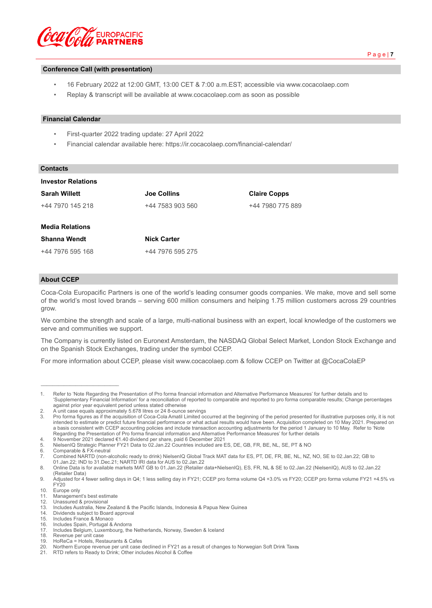

- 16 February 2022 at 12:00 GMT, 13:00 CET & 7:00 a.m.EST; accessible via www.cocacolaep.com
- Replay & transcript will be available at www.cocacolaep.com as soon as possible

#### **Financial Calendar**

- First-quarter 2022 trading update: 27 April 2022
- Financial calendar available here: https://ir.cocacolaep.com/financial-calendar/

| <b>Contacts</b>           |                    |                     |  |  |  |  |  |  |
|---------------------------|--------------------|---------------------|--|--|--|--|--|--|
| <b>Investor Relations</b> |                    |                     |  |  |  |  |  |  |
| <b>Sarah Willett</b>      | <b>Joe Collins</b> | <b>Claire Copps</b> |  |  |  |  |  |  |
| +44 7970 145 218          | +44 7583 903 560   | +44 7980 775 889    |  |  |  |  |  |  |
|                           |                    |                     |  |  |  |  |  |  |
| <b>Media Relations</b>    |                    |                     |  |  |  |  |  |  |
| <b>Shanna Wendt</b>       | <b>Nick Carter</b> |                     |  |  |  |  |  |  |
| +44 7976 595 168          | +44 7976 595 275   |                     |  |  |  |  |  |  |
|                           |                    |                     |  |  |  |  |  |  |

### **About CCEP**

Coca-Cola Europacific Partners is one of the world's leading consumer goods companies. We make, move and sell some of the world's most loved brands – serving 600 million consumers and helping 1.75 million customers across 29 countries grow.

We combine the strength and scale of a large, multi-national business with an expert, local knowledge of the customers we serve and communities we support.

The Company is currently listed on Euronext Amsterdam, the NASDAQ Global Select Market, London Stock Exchange and on the Spanish Stock Exchanges, trading under the symbol CCEP.

For more information about CCEP, please visit www.cocacolaep.com & follow CCEP on Twitter at @CocaColaEP

<sup>1.</sup> Refer to 'Note Regarding the Presentation of Pro forma financial information and Alternative Performance Measures' for further details and to 'Supplementary Financial Information' for a reconciliation of reported to comparable and reported to pro forma comparable results; Change percentages against prior year equivalent period unless stated otherwise

<sup>2.</sup> A unit case equals approximately 5.678 litres or 24 8-ounce servings<br>3. Pro forma figures as if the acquisition of Coca-Cola Amatil Limited or

<sup>3.</sup> Pro forma figures as if the acquisition of Coca-Cola Amatil Limited occurred at the beginning of the period presented for illustrative purposes only, it is not intended to estimate or predict future financial performance or what actual results would have been. Acquisition completed on 10 May 2021. Prepared on<br>a basis consistent with CCEP accounting policies and include transactio Regarding the Presentation of Pro forma financial information and Alternative Performance Measures' for further details

<sup>4.</sup> 9 November 2021 declared €1.40 dividend per share, paid 6 December 2021

<sup>5.</sup> NielsenIQ Strategic Planner FY21 Data to 02.Jan.22 Countries included are ES, DE, GB, FR, BE, NL, SE, PT & NO

<sup>6.</sup> Comparable & FX-neutral<br>7. Combined NARTD (non-a

<sup>7.</sup> Combined NARTD (non-alcoholic ready to drink) NielsenIQ Global Track MAT data for ES, PT, DE, FR, BE, NL, NZ, NO, SE to 02.Jan.22; GB to 01.Jan.22; IND to 31.Dec.21; NARTD IRI data for AUS to 02.Jan.22

<sup>8.</sup> Online Data is for available markets MAT GB to 01.Jan.22 (Retailer data+NielsenIQ), ES, FR, NL & SE to 02.Jan.22 (NielsenIQ), AUS to 02.Jan.22 (Retailer Data)

<sup>9.</sup> Adjusted for 4 fewer selling days in Q4; 1 less selling day in FY21; CCEP pro forma volume Q4 +3.0% vs FY20; CCEP pro forma volume FY21 +4.5% vs FY20

<sup>10.</sup> Europe only

<sup>11.</sup> Management's best estimate<br>12. Unassured & provisional

<sup>12.</sup> Unassured & provisional<br>13. Includes Australia. New 2 13. Includes Australia, New Zealand & the Pacific Islands, Indonesia & Papua New Guinea

<sup>14.</sup> Dividends subject to Board approval<br>15. Includes France & Monaco

<sup>15.</sup> Includes France & Monaco<br>16. Includes Spain, Portugal &

Includes Spain, Portugal & Andorra 17. Includes Belgium, Luxembourg, the Netherlands, Norway, Sweden & Iceland

<sup>18.</sup> Revenue per unit case 19. HoReCa = Hotels, Restaurants & Cafes

<sup>20.</sup> Northern Europe revenue per unit case declined in FY21 as a result of changes to Norwegian Soft Drink Taxes<br>21. RTD refers to Ready to Drink: Other includes Alcohol & Coffee

RTD refers to Ready to Drink; Other includes Alcohol & Coffee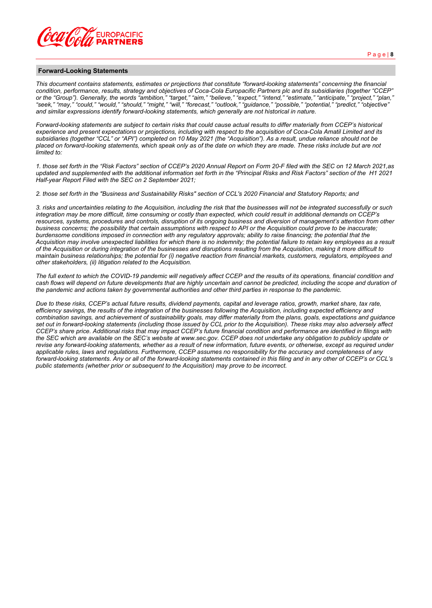

#### **Forward-Looking Statements**

*This document contains statements, estimates or projections that constitute "forward-looking statements" concerning the financial condition, performance, results, strategy and objectives of Coca-Cola Europacific Partners plc and its subsidiaries (together "CCEP" or the "Group"). Generally, the words "ambition," "target," "aim," "believe," "expect," "intend," "estimate," "anticipate," "project," "plan," "seek," "may," "could," "would," "should," "might," "will," "forecast," "outlook," "guidance," "possible," "potential," "predict," "objective" and similar expressions identify forward-looking statements, which generally are not historical in nature.* 

*Forward-looking statements are subject to certain risks that could cause actual results to differ materially from CCEP's historical experience and present expectations or projections, including with respect to the acquisition of Coca-Cola Amatil Limited and its subsidiaries (together "CCL" or "API") completed on 10 May 2021 (the "Acquisition"). As a result, undue reliance should not be placed on forward-looking statements, which speak only as of the date on which they are made. These risks include but are not limited to:* 

*1. those set forth in the "Risk Factors" section of CCEP's 2020 Annual Report on Form 20-F filed with the SEC on 12 March 2021,as updated and supplemented with the additional information set forth in the "Principal Risks and Risk Factors" section of the H1 2021 Half-year Report Filed with the SEC on 2 September 2021;*

*2. those set forth in the "Business and Sustainability Risks" section of CCL's 2020 Financial and Statutory Reports; and*

*3. risks and uncertainties relating to the Acquisition, including the risk that the businesses will not be integrated successfully or such integration may be more difficult, time consuming or costly than expected, which could result in additional demands on CCEP's resources, systems, procedures and controls, disruption of its ongoing business and diversion of management's attention from other business concerns; the possibility that certain assumptions with respect to API or the Acquisition could prove to be inaccurate; burdensome conditions imposed in connection with any regulatory approvals; ability to raise financing; the potential that the Acquisition may involve unexpected liabilities for which there is no indemnity; the potential failure to retain key employees as a result of the Acquisition or during integration of the businesses and disruptions resulting from the Acquisition, making it more difficult to maintain business relationships; the potential for (i) negative reaction from financial markets, customers, regulators, employees and other stakeholders, (ii) litigation related to the Acquisition.* 

*The full extent to which the COVID-19 pandemic will negatively affect CCEP and the results of its operations, financial condition and*  cash flows will depend on future developments that are highly uncertain and cannot be predicted, including the scope and duration of *the pandemic and actions taken by governmental authorities and other third parties in response to the pandemic.* 

*Due to these risks, CCEP's actual future results, dividend payments, capital and leverage ratios, growth, market share, tax rate, efficiency savings, the results of the integration of the businesses following the Acquisition, including expected efficiency and combination savings, and achievement of sustainability goals, may differ materially from the plans, goals, expectations and guidance set out in forward-looking statements (including those issued by CCL prior to the Acquisition). These risks may also adversely affect CCEP's share price. Additional risks that may impact CCEP's future financial condition and performance are identified in filings with the SEC which are available on the SEC's website at www.sec.gov. CCEP does not undertake any obligation to publicly update or*  revise any forward-looking statements, whether as a result of new information, future events, or otherwise, except as required under *applicable rules, laws and regulations. Furthermore, CCEP assumes no responsibility for the accuracy and completeness of any forward-looking statements. Any or all of the forward-looking statements contained in this filing and in any other of CCEP's or CCL's public statements (whether prior or subsequent to the Acquisition) may prove to be incorrect.*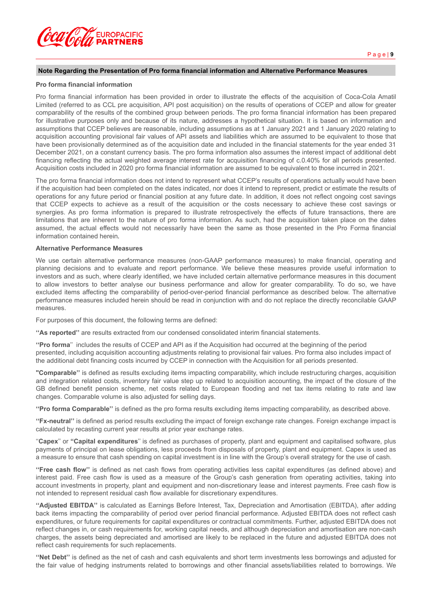

#### **Note Regarding the Presentation of Pro forma financial information and Alternative Performance Measures**

#### **Pro forma financial information**

Pro forma financial information has been provided in order to illustrate the effects of the acquisition of Coca-Cola Amatil Limited (referred to as CCL pre acquisition, API post acquisition) on the results of operations of CCEP and allow for greater comparability of the results of the combined group between periods. The pro forma financial information has been prepared for illustrative purposes only and because of its nature, addresses a hypothetical situation. It is based on information and assumptions that CCEP believes are reasonable, including assumptions as at 1 January 2021 and 1 January 2020 relating to acquisition accounting provisional fair values of API assets and liabilities which are assumed to be equivalent to those that have been provisionally determined as of the acquisition date and included in the financial statements for the year ended 31 December 2021, on a constant currency basis. The pro forma information also assumes the interest impact of additional debt financing reflecting the actual weighted average interest rate for acquisition financing of c.0.40% for all periods presented. Acquisition costs included in 2020 pro forma financial information are assumed to be equivalent to those incurred in 2021.

The pro forma financial information does not intend to represent what CCEP's results of operations actually would have been if the acquisition had been completed on the dates indicated, nor does it intend to represent, predict or estimate the results of operations for any future period or financial position at any future date. In addition, it does not reflect ongoing cost savings that CCEP expects to achieve as a result of the acquisition or the costs necessary to achieve these cost savings or synergies. As pro forma information is prepared to illustrate retrospectively the effects of future transactions, there are limitations that are inherent to the nature of pro forma information. As such, had the acquisition taken place on the dates assumed, the actual effects would not necessarily have been the same as those presented in the Pro Forma financial information contained herein.

#### **Alternative Performance Measures**

We use certain alternative performance measures (non-GAAP performance measures) to make financial, operating and planning decisions and to evaluate and report performance. We believe these measures provide useful information to investors and as such, where clearly identified, we have included certain alternative performance measures in this document to allow investors to better analyse our business performance and allow for greater comparability. To do so, we have excluded items affecting the comparability of period-over-period financial performance as described below. The alternative performance measures included herein should be read in conjunction with and do not replace the directly reconcilable GAAP measures.

For purposes of this document, the following terms are defined:

**''As reported''** are results extracted from our condensed consolidated interim financial statements.

**''Pro forma**'' includes the results of CCEP and API as if the Acquisition had occurred at the beginning of the period presented, including acquisition accounting adjustments relating to provisional fair values. Pro forma also includes impact of the additional debt financing costs incurred by CCEP in connection with the Acquisition for all periods presented.

**"Comparable''** is defined as results excluding items impacting comparability, which include restructuring charges, acquisition and integration related costs, inventory fair value step up related to acquisition accounting, the impact of the closure of the GB defined benefit pension scheme, net costs related to European flooding and net tax items relating to rate and law changes. Comparable volume is also adjusted for selling days.

**''Pro forma Comparable''** is defined as the pro forma results excluding items impacting comparability, as described above.

**''Fx-neutral''** is defined as period results excluding the impact of foreign exchange rate changes. Foreign exchange impact is calculated by recasting current year results at prior year exchange rates.

''**Capex**'' or **"Capital expenditures**'' is defined as purchases of property, plant and equipment and capitalised software, plus payments of principal on lease obligations, less proceeds from disposals of property, plant and equipment. Capex is used as a measure to ensure that cash spending on capital investment is in line with the Group's overall strategy for the use of cash.

**''Free cash flow''** is defined as net cash flows from operating activities less capital expenditures (as defined above) and interest paid. Free cash flow is used as a measure of the Group's cash generation from operating activities, taking into account investments in property, plant and equipment and non-discretionary lease and interest payments. Free cash flow is not intended to represent residual cash flow available for discretionary expenditures.

**''Adjusted EBITDA''** is calculated as Earnings Before Interest, Tax, Depreciation and Amortisation (EBITDA), after adding back items impacting the comparability of period over period financial performance. Adjusted EBITDA does not reflect cash expenditures, or future requirements for capital expenditures or contractual commitments. Further, adjusted EBITDA does not reflect changes in, or cash requirements for, working capital needs, and although depreciation and amortisation are non-cash charges, the assets being depreciated and amortised are likely to be replaced in the future and adjusted EBITDA does not reflect cash requirements for such replacements.

**''Net Debt''** is defined as the net of cash and cash equivalents and short term investments less borrowings and adjusted for the fair value of hedging instruments related to borrowings and other financial assets/liabilities related to borrowings. We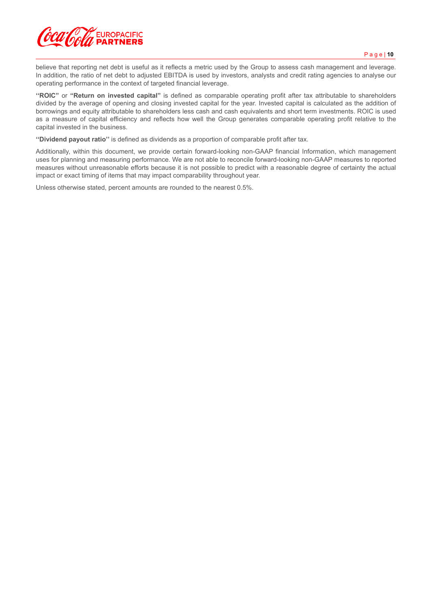

believe that reporting net debt is useful as it reflects a metric used by the Group to assess cash management and leverage. In addition, the ratio of net debt to adjusted EBITDA is used by investors, analysts and credit rating agencies to analyse our operating performance in the context of targeted financial leverage.

**''ROIC"** or **"Return on invested capital"** is defined as comparable operating profit after tax attributable to shareholders divided by the average of opening and closing invested capital for the year. Invested capital is calculated as the addition of borrowings and equity attributable to shareholders less cash and cash equivalents and short term investments. ROIC is used as a measure of capital efficiency and reflects how well the Group generates comparable operating profit relative to the capital invested in the business.

**''Dividend payout ratio''** is defined as dividends as a proportion of comparable profit after tax.

Additionally, within this document, we provide certain forward-looking non-GAAP financial Information, which management uses for planning and measuring performance. We are not able to reconcile forward-looking non-GAAP measures to reported measures without unreasonable efforts because it is not possible to predict with a reasonable degree of certainty the actual impact or exact timing of items that may impact comparability throughout year.

Unless otherwise stated, percent amounts are rounded to the nearest 0.5%.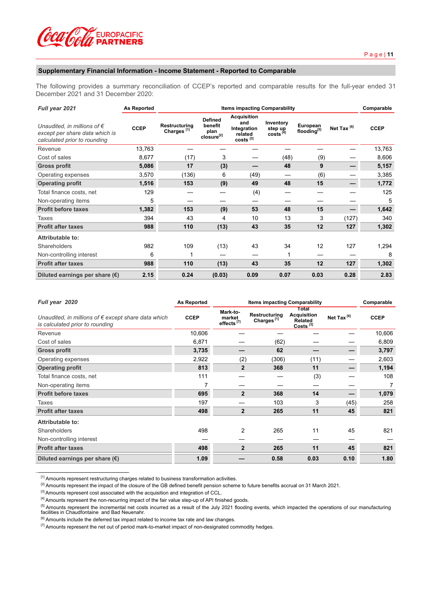

#### **Supplementary Financial Information - Income Statement - Reported to Comparable**

The following provides a summary reconciliation of CCEP's reported and comparable results for the full-year ended 31 December 2021 and 31 December 2020:

| Full year 2021                                                                                         | <b>As Reported</b> | <b>Items impacting Comparability</b><br>Comparable |                                                             |                                                                             |                                       |                                |                        |             |
|--------------------------------------------------------------------------------------------------------|--------------------|----------------------------------------------------|-------------------------------------------------------------|-----------------------------------------------------------------------------|---------------------------------------|--------------------------------|------------------------|-------------|
| Unaudited, in millions of $\epsilon$<br>except per share data which is<br>calculated prior to rounding | <b>CCEP</b>        | Restructuring<br>Charges <sup>[1]</sup>            | <b>Defined</b><br>benefit<br>plan<br>closure <sup>[2]</sup> | <b>Acquisition</b><br>and<br>Integration<br>related<br>costs <sup>[3]</sup> | Inventory<br>step up<br>$costs^{[4]}$ | <b>European</b><br>flooding[5] | Net Tax <sup>[6]</sup> | <b>CCEP</b> |
| Revenue                                                                                                | 13,763             |                                                    |                                                             |                                                                             |                                       |                                |                        | 13,763      |
| Cost of sales                                                                                          | 8,677              | (17)                                               | 3                                                           |                                                                             | (48)                                  | (9)                            |                        | 8,606       |
| Gross profit                                                                                           | 5,086              | 17                                                 | (3)                                                         |                                                                             | 48                                    | 9                              |                        | 5,157       |
| Operating expenses                                                                                     | 3,570              | (136)                                              | 6                                                           | (49)                                                                        | —                                     | (6)                            |                        | 3,385       |
| <b>Operating profit</b>                                                                                | 1,516              | 153                                                | (9)                                                         | 49                                                                          | 48                                    | 15                             |                        | 1,772       |
| Total finance costs, net                                                                               | 129                |                                                    |                                                             | (4)                                                                         |                                       |                                |                        | 125         |
| Non-operating items                                                                                    | 5                  |                                                    |                                                             |                                                                             |                                       |                                |                        | 5           |
| <b>Profit before taxes</b>                                                                             | 1,382              | 153                                                | (9)                                                         | 53                                                                          | 48                                    | 15                             |                        | 1,642       |
| <b>Taxes</b>                                                                                           | 394                | 43                                                 | 4                                                           | 10                                                                          | 13                                    | 3                              | (127)                  | 340         |
| <b>Profit after taxes</b>                                                                              | 988                | 110                                                | (13)                                                        | 43                                                                          | 35                                    | 12                             | 127                    | 1,302       |
| <b>Attributable to:</b>                                                                                |                    |                                                    |                                                             |                                                                             |                                       |                                |                        |             |
| Shareholders                                                                                           | 982                | 109                                                | (13)                                                        | 43                                                                          | 34                                    | 12                             | 127                    | 1,294       |
| Non-controlling interest                                                                               | 6                  |                                                    |                                                             |                                                                             | 1                                     |                                |                        | 8           |
| <b>Profit after taxes</b>                                                                              | 988                | 110                                                | (13)                                                        | 43                                                                          | 35                                    | 12                             | 127                    | 1,302       |
| Diluted earnings per share $(\epsilon)$                                                                | 2.15               | 0.24                                               | (0.03)                                                      | 0.09                                                                        | 0.07                                  | 0.03                           | 0.28                   | 2.83        |

| Full year 2020                                                                                  | <b>As Reported</b> | <b>Items impacting Comparability</b>         |                                                | Comparable                                                            |                        |             |
|-------------------------------------------------------------------------------------------------|--------------------|----------------------------------------------|------------------------------------------------|-----------------------------------------------------------------------|------------------------|-------------|
| Unaudited, in millions of $\epsilon$ except share data which<br>is calculated prior to rounding | <b>CCEP</b>        | Mark-to-<br>market<br>effects <sup>[7]</sup> | <b>Restructuring</b><br>Charges <sup>[1]</sup> | Total<br><b>Acquisition</b><br><b>Related</b><br>Costs <sup>[3]</sup> | Net Tax <sup>[6]</sup> | <b>CCEP</b> |
| Revenue                                                                                         | 10,606             |                                              |                                                |                                                                       |                        | 10,606      |
| Cost of sales                                                                                   | 6,871              |                                              | (62)                                           |                                                                       |                        | 6,809       |
| <b>Gross profit</b>                                                                             | 3,735              |                                              | 62                                             |                                                                       |                        | 3,797       |
| Operating expenses                                                                              | 2,922              | (2)                                          | (306)                                          | (11)                                                                  |                        | 2,603       |
| <b>Operating profit</b>                                                                         | 813                | $\overline{2}$                               | 368                                            | 11                                                                    |                        | 1,194       |
| Total finance costs, net                                                                        | 111                |                                              |                                                | (3)                                                                   |                        | 108         |
| Non-operating items                                                                             |                    |                                              |                                                |                                                                       |                        |             |
| <b>Profit before taxes</b>                                                                      | 695                | $\overline{2}$                               | 368                                            | 14                                                                    |                        | 1,079       |
| Taxes                                                                                           | 197                |                                              | 103                                            | 3                                                                     | (45)                   | 258         |
| <b>Profit after taxes</b>                                                                       | 498                | $\overline{2}$                               | 265                                            | 11                                                                    | 45                     | 821         |
| <b>Attributable to:</b>                                                                         |                    |                                              |                                                |                                                                       |                        |             |
| Shareholders                                                                                    | 498                | 2                                            | 265                                            | 11                                                                    | 45                     | 821         |
| Non-controlling interest                                                                        |                    |                                              |                                                |                                                                       |                        |             |
| <b>Profit after taxes</b>                                                                       | 498                | $\mathbf{2}$                                 | 265                                            | 11                                                                    | 45                     | 821         |
| Diluted earnings per share $(\epsilon)$                                                         | 1.09               |                                              | 0.58                                           | 0.03                                                                  | 0.10                   | 1.80        |

<sup>[1]</sup> Amounts represent restructuring charges related to business transformation activities.

 $\overline{\phantom{a}}$  , where the contract of the contract of the contract of the contract of the contract of the contract of the contract of the contract of the contract of the contract of the contract of the contract of the contr

<sup>&</sup>lt;sup>[2]</sup> Amounts represent the impact of the closure of the GB defined benefit pension scheme to future benefits accrual on 31 March 2021.

<sup>[3]</sup> Amounts represent cost associated with the acquisition and integration of CCL.

<sup>[4]</sup> Amounts represent the non-recurring impact of the fair value step-up of API finished goods.

<sup>&</sup>lt;sup>[5]</sup> Amounts represent the incremental net costs incurred as a result of the July 2021 flooding events, which impacted the operations of our manufacturing facilities in Chaudfontaine and Bad Neuenahr.

<sup>&</sup>lt;sup>[6]</sup> Amounts include the deferred tax impact related to income tax rate and law changes.

<sup>[7]</sup> Amounts represent the net out of period mark-to-market impact of non-designated commodity hedges.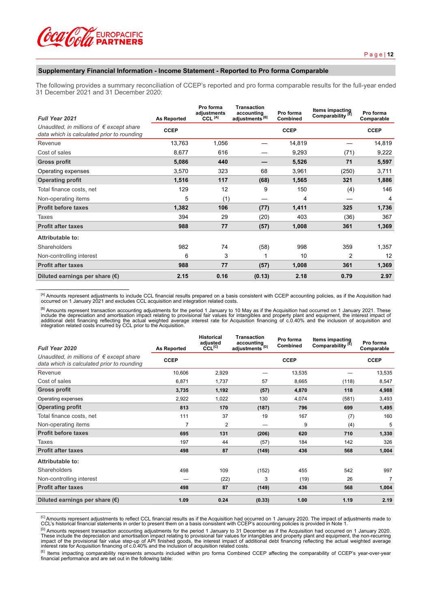

 $\overline{\phantom{a}}$  , where the contract of the contract of the contract of the contract of the contract of the contract of the contract of the contract of the contract of the contract of the contract of the contract of the contr

#### **Supplementary Financial Information - Income Statement - Reported to Pro forma Comparable**

The following provides a summary reconciliation of CCEP's reported and pro forma comparable results for the full-year ended 31 December 2021 and 31 December 2020:

| <b>Full Year 2021</b>                                                                           | <b>As Reported</b> | Pro forma<br>adjustments<br>$CCL^{[A]}$ | <b>Transaction</b><br>accounting<br>adjustments <sup>[B]</sup> | Pro forma<br>Combined | Items impacting<br>Comparability <sup>[E]</sup> | Pro forma<br>Comparable |
|-------------------------------------------------------------------------------------------------|--------------------|-----------------------------------------|----------------------------------------------------------------|-----------------------|-------------------------------------------------|-------------------------|
| Unaudited, in millions of $\epsilon$ except share<br>data which is calculated prior to rounding | <b>CCEP</b>        |                                         |                                                                | <b>CCEP</b>           |                                                 | <b>CCEP</b>             |
| Revenue                                                                                         | 13,763             | 1,056                                   |                                                                | 14,819                |                                                 | 14,819                  |
| Cost of sales                                                                                   | 8,677              | 616                                     |                                                                | 9,293                 | (71)                                            | 9,222                   |
| <b>Gross profit</b>                                                                             | 5,086              | 440                                     |                                                                | 5,526                 | 71                                              | 5,597                   |
| Operating expenses                                                                              | 3,570              | 323                                     | 68                                                             | 3,961                 | (250)                                           | 3,711                   |
| <b>Operating profit</b>                                                                         | 1,516              | 117                                     | (68)                                                           | 1,565                 | 321                                             | 1,886                   |
| Total finance costs, net                                                                        | 129                | 12                                      | 9                                                              | 150                   | (4)                                             | 146                     |
| Non-operating items                                                                             | 5                  | (1)                                     |                                                                | 4                     |                                                 | 4                       |
| <b>Profit before taxes</b>                                                                      | 1,382              | 106                                     | (77)                                                           | 1,411                 | 325                                             | 1,736                   |
| Taxes                                                                                           | 394                | 29                                      | (20)                                                           | 403                   | (36)                                            | 367                     |
| <b>Profit after taxes</b>                                                                       | 988                | 77                                      | (57)                                                           | 1,008                 | 361                                             | 1,369                   |
| Attributable to:                                                                                |                    |                                         |                                                                |                       |                                                 |                         |
| Shareholders                                                                                    | 982                | 74                                      | (58)                                                           | 998                   | 359                                             | 1,357                   |
| Non-controlling interest                                                                        | 6                  | 3                                       | 1                                                              | 10                    | 2                                               | 12                      |
| <b>Profit after taxes</b>                                                                       | 988                | 77                                      | (57)                                                           | 1,008                 | 361                                             | 1,369                   |
| Diluted earnings per share $(\epsilon)$                                                         | 2.15               | 0.16                                    | (0.13)                                                         | 2.18                  | 0.79                                            | 2.97                    |

[A] Amounts represent adjustments to include CCL financial results prepared on a basis consistent with CCEP accounting policies, as if the Acquisition had occurred on 1 January 2021 and excludes CCL acquisition and integration related costs.

<sup>[B]</sup> Amounts represent transaction accounting adjustments for the period 1 January to 10 May as if the Acquisition had occurred on 1 January 2021. These<br>include the depreciation and amortisation impact relating to provisi

| <b>Full Year 2020</b>                                                                           | <b>As Reported</b> | <b>Historical</b><br>adjusted<br>CCL <sub>[C]</sub> | <b>Transaction</b><br>accounting<br>adjustments <sup>[D]</sup> | Pro forma<br>Combined | Items impacting<br>Comparability <sup>[E]</sup> | Pro forma<br>Comparable |
|-------------------------------------------------------------------------------------------------|--------------------|-----------------------------------------------------|----------------------------------------------------------------|-----------------------|-------------------------------------------------|-------------------------|
| Unaudited, in millions of $\epsilon$ except share<br>data which is calculated prior to rounding | <b>CCEP</b>        |                                                     |                                                                | <b>CCEP</b>           |                                                 | <b>CCEP</b>             |
| Revenue                                                                                         | 10,606             | 2,929                                               |                                                                | 13,535                |                                                 | 13,535                  |
| Cost of sales                                                                                   | 6,871              | 1,737                                               | 57                                                             | 8,665                 | (118)                                           | 8,547                   |
| <b>Gross profit</b>                                                                             | 3,735              | 1,192                                               | (57)                                                           | 4,870                 | 118                                             | 4,988                   |
| Operating expenses                                                                              | 2,922              | 1,022                                               | 130                                                            | 4,074                 | (581)                                           | 3,493                   |
| <b>Operating profit</b>                                                                         | 813                | 170                                                 | (187)                                                          | 796                   | 699                                             | 1,495                   |
| Total finance costs, net                                                                        | 111                | 37                                                  | 19                                                             | 167                   | (7)                                             | 160                     |
| Non-operating items                                                                             | 7                  | $\overline{2}$                                      |                                                                | 9                     | (4)                                             | 5                       |
| <b>Profit before taxes</b>                                                                      | 695                | 131                                                 | (206)                                                          | 620                   | 710                                             | 1,330                   |
| <b>Taxes</b>                                                                                    | 197                | 44                                                  | (57)                                                           | 184                   | 142                                             | 326                     |
| <b>Profit after taxes</b>                                                                       | 498                | 87                                                  | (149)                                                          | 436                   | 568                                             | 1,004                   |
| <b>Attributable to:</b>                                                                         |                    |                                                     |                                                                |                       |                                                 |                         |
| Shareholders                                                                                    | 498                | 109                                                 | (152)                                                          | 455                   | 542                                             | 997                     |
| Non-controlling interest                                                                        |                    | (22)                                                | 3                                                              | (19)                  | 26                                              | 7                       |
| <b>Profit after taxes</b>                                                                       | 498                | 87                                                  | (149)                                                          | 436                   | 568                                             | 1,004                   |
| Diluted earnings per share $(\epsilon)$                                                         | 1.09               | 0.24                                                | (0.33)                                                         | 1.00                  | 1.19                                            | 2.19                    |

<sup>[C]</sup> Amounts represent adjustments to reflect CCL financial results as if the Acquisition had occurred on 1 January 2020. The impact of adjustments made to<br>CCL's historical financial statements in order to present them on

<sup>[D]</sup> Amounts represent transaction accounting adjustments for the period 1 January to 31 December as if the Acquisition had occurred on 1 January 2020.<br>These include the depreciation and amortisation impact relating to pr

[E] Items impacting comparability represents amounts included within pro forma Combined CCEP affecting the comparability of CCEP's year-over-year financial performance and are set out in the following table: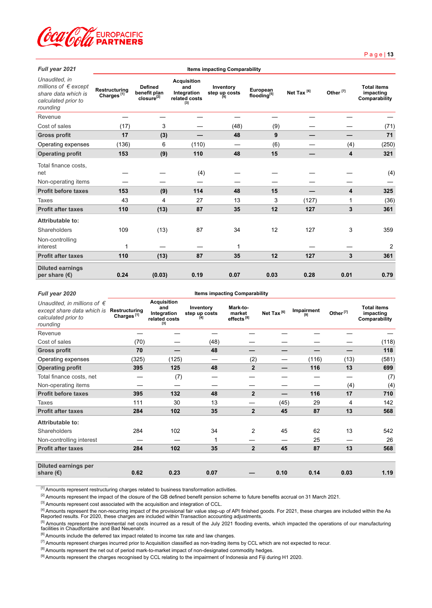

| Full year 2021                                                                                           | <b>Items impacting Comparability</b>    |                                                          |                                                           |                            |                         |                        |                         |                                                  |  |  |  |
|----------------------------------------------------------------------------------------------------------|-----------------------------------------|----------------------------------------------------------|-----------------------------------------------------------|----------------------------|-------------------------|------------------------|-------------------------|--------------------------------------------------|--|--|--|
| Unaudited, in<br>millions of $\epsilon$ except<br>share data which is<br>calculated prior to<br>rounding | Restructuring<br>Charges <sup>[1]</sup> | <b>Defined</b><br>benefit plan<br>closure <sup>[2]</sup> | <b>Acquisition</b><br>and<br>Integration<br>related costs | Inventory<br>step up costs | European<br>flooding[5] | Net Tax <sup>[6]</sup> | Other <sup>[7]</sup>    | <b>Total items</b><br>impacting<br>Comparability |  |  |  |
| Revenue                                                                                                  |                                         |                                                          |                                                           |                            |                         |                        |                         |                                                  |  |  |  |
| Cost of sales                                                                                            | (17)                                    | 3                                                        |                                                           | (48)                       | (9)                     |                        |                         | (71)                                             |  |  |  |
| <b>Gross profit</b>                                                                                      | 17                                      | (3)                                                      |                                                           | 48                         | 9                       |                        |                         | 71                                               |  |  |  |
| Operating expenses                                                                                       | (136)                                   | 6                                                        | (110)                                                     |                            | (6)                     |                        | (4)                     | (250)                                            |  |  |  |
| <b>Operating profit</b>                                                                                  | 153                                     | (9)                                                      | 110                                                       | 48                         | 15                      |                        | $\overline{\mathbf{4}}$ | 321                                              |  |  |  |
| Total finance costs,<br>net                                                                              |                                         |                                                          | (4)                                                       |                            |                         |                        |                         | (4)                                              |  |  |  |
| Non-operating items                                                                                      |                                         |                                                          |                                                           |                            |                         |                        |                         |                                                  |  |  |  |
| <b>Profit before taxes</b>                                                                               | 153                                     | (9)                                                      | 114                                                       | 48                         | 15                      |                        | 4                       | 325                                              |  |  |  |
| <b>Taxes</b>                                                                                             | 43                                      | 4                                                        | 27                                                        | 13                         | 3                       | (127)                  | 1                       | (36)                                             |  |  |  |
| <b>Profit after taxes</b>                                                                                | 110                                     | (13)                                                     | 87                                                        | 35                         | 12                      | 127                    | 3                       | 361                                              |  |  |  |
| Attributable to:                                                                                         |                                         |                                                          |                                                           |                            |                         |                        |                         |                                                  |  |  |  |
| Shareholders                                                                                             | 109                                     | (13)                                                     | 87                                                        | 34                         | 12                      | 127                    | 3                       | 359                                              |  |  |  |
| Non-controlling<br>interest                                                                              | 1                                       |                                                          |                                                           | 1                          |                         |                        |                         | $\overline{2}$                                   |  |  |  |
| <b>Profit after taxes</b>                                                                                | 110                                     | (13)                                                     | 87                                                        | 35                         | 12                      | 127                    | 3                       | 361                                              |  |  |  |
| <b>Diluted earnings</b><br>per share $(\epsilon)$                                                        | 0.24                                    | (0.03)                                                   | 0.19                                                      | 0.07                       | 0.03                    | 0.28                   | 0.01                    | 0.79                                             |  |  |  |

 $\mathcal{L}_\text{max}$  and  $\mathcal{L}_\text{max}$  and  $\mathcal{L}_\text{max}$ 

#### *Full year 2020* **Items impacting Comparability**

| Unaudited, in millions of $\epsilon$<br>except share data which is<br>calculated prior to<br>rounding | Restructuring<br>Charges <sup>[1]</sup> | <b>Acquisition</b><br>and<br>Integration<br>related costs<br>$[3]$ | Inventory<br>step up costs<br>[4] | Mark-to-<br>market<br>effects <sup>[8]</sup> | Net Tax <sup>[6]</sup> | Impairment<br>[9] | Other <sup>[7]</sup> | <b>Total items</b><br>impacting<br>Comparability |
|-------------------------------------------------------------------------------------------------------|-----------------------------------------|--------------------------------------------------------------------|-----------------------------------|----------------------------------------------|------------------------|-------------------|----------------------|--------------------------------------------------|
| Revenue                                                                                               |                                         |                                                                    |                                   |                                              |                        |                   |                      |                                                  |
| Cost of sales                                                                                         | (70)                                    |                                                                    | (48)                              |                                              |                        |                   |                      | (118)                                            |
| <b>Gross profit</b>                                                                                   | 70                                      |                                                                    | 48                                |                                              |                        |                   |                      | 118                                              |
| Operating expenses                                                                                    | (325)                                   | (125)                                                              |                                   | (2)                                          |                        | (116)             | (13)                 | (581)                                            |
| <b>Operating profit</b>                                                                               | 395                                     | 125                                                                | 48                                | $\mathbf{2}$                                 |                        | 116               | 13                   | 699                                              |
| Total finance costs, net                                                                              |                                         | (7)                                                                |                                   |                                              |                        |                   |                      | (7)                                              |
| Non-operating items                                                                                   |                                         |                                                                    |                                   |                                              |                        |                   | (4)                  | (4)                                              |
| <b>Profit before taxes</b>                                                                            | 395                                     | 132                                                                | 48                                | $\overline{2}$                               |                        | 116               | 17                   | 710                                              |
| <b>Taxes</b>                                                                                          | 111                                     | 30                                                                 | 13                                |                                              | (45)                   | 29                | 4                    | 142                                              |
| <b>Profit after taxes</b>                                                                             | 284                                     | 102                                                                | 35                                | $\mathbf{2}$                                 | 45                     | 87                | 13                   | 568                                              |
| <b>Attributable to:</b>                                                                               |                                         |                                                                    |                                   |                                              |                        |                   |                      |                                                  |
| Shareholders                                                                                          | 284                                     | 102                                                                | 34                                | 2                                            | 45                     | 62                | 13                   | 542                                              |
| Non-controlling interest                                                                              |                                         |                                                                    |                                   |                                              |                        | 25                |                      | 26                                               |
| <b>Profit after taxes</b>                                                                             | 284                                     | 102                                                                | 35                                | $\overline{2}$                               | 45                     | 87                | 13                   | 568                                              |
| <b>Diluted earnings per</b><br>share $(\epsilon)$                                                     | 0.62                                    | 0.23                                                               | 0.07                              |                                              | 0.10                   | 0.14              | 0.03                 | 1.19                                             |

 $[1]$  Amounts represent restructuring charges related to business transformation activities.

<sup>[2]</sup> Amounts represent the impact of the closure of the GB defined benefit pension scheme to future benefits accrual on 31 March 2021.

 $[3]$  Amounts represent cost associated with the acquisition and integration of CCL.

<sup>[5]</sup> Amounts represent the incremental net costs incurred as a result of the July 2021 flooding events, which impacted the operations of our manufacturing facilities in Chaudfontaine and Bad Neuenahr.

<sup>[6]</sup> Amounts include the deferred tax impact related to income tax rate and law changes.

 $^{[7]}$  Amounts represent charges incurred prior to Acquisition classified as non-trading items by CCL which are not expected to recur.

<sup>[8]</sup> Amounts represent the net out of period mark-to-market impact of non-designated commodity hedges.

<sup>[9]</sup> Amounts represent the charges recognised by CCL relating to the impairment of Indonesia and Fiji during H1 2020.

<sup>&</sup>lt;sup>[4]</sup> Amounts represent the non-recurring impact of the provisional fair value step-up of API finished goods. For 2021, these charges are included within the As<br>Reported results. For 2020, these charges are included within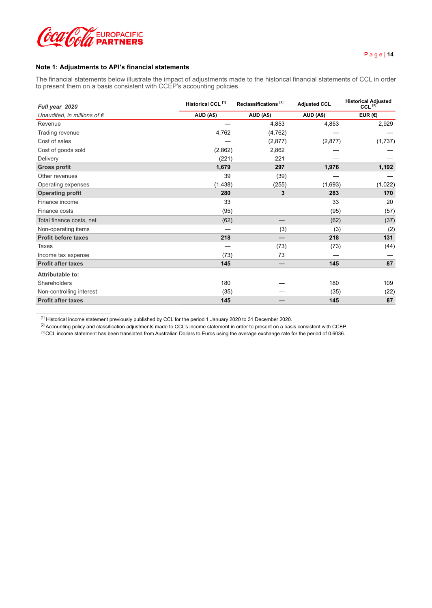

#### **Note 1: Adjustments to API's financial statements**

The financial statements below illustrate the impact of adjustments made to the historical financial statements of CCL in order to present them on a basis consistent with CCEP's accounting policies.

| Full year 2020                       | Historical CCL <sup>[1]</sup> | Reclassifications <sup>[2]</sup> | <b>Adjusted CCL</b> | <b>Historical Adjusted</b><br>$CCL$ [3] |  |
|--------------------------------------|-------------------------------|----------------------------------|---------------------|-----------------------------------------|--|
| Unaudited, in millions of $\epsilon$ | AUD (A\$)                     | AUD (A\$)                        | AUD (A\$)           | EUR $(€)$                               |  |
| Revenue                              |                               | 4,853                            | 4,853               | 2,929                                   |  |
| Trading revenue                      | 4,762                         | (4, 762)                         |                     |                                         |  |
| Cost of sales                        |                               | (2,877)                          | (2,877)             | (1,737)                                 |  |
| Cost of goods sold                   | (2,862)                       | 2,862                            |                     |                                         |  |
| Delivery                             | (221)                         | 221                              |                     |                                         |  |
| <b>Gross profit</b>                  | 1,679                         | 297                              | 1,976               | 1,192                                   |  |
| Other revenues                       | 39                            | (39)                             |                     |                                         |  |
| Operating expenses                   | (1, 438)                      | (255)                            | (1,693)             | (1,022)                                 |  |
| <b>Operating profit</b>              | 280                           | 3                                | 283                 | 170                                     |  |
| Finance income                       | 33                            |                                  | 33                  | 20                                      |  |
| Finance costs                        | (95)                          |                                  | (95)                | (57)                                    |  |
| Total finance costs, net             | (62)                          |                                  | (62)                | (37)                                    |  |
| Non-operating items                  |                               | (3)                              | (3)                 | (2)                                     |  |
| <b>Profit before taxes</b>           | 218                           |                                  | 218                 | 131                                     |  |
| Taxes                                |                               | (73)                             | (73)                | (44)                                    |  |
| Income tax expense                   | (73)                          | 73                               |                     |                                         |  |
| <b>Profit after taxes</b>            | 145                           |                                  | 145                 | 87                                      |  |
| Attributable to:                     |                               |                                  |                     |                                         |  |
| Shareholders                         | 180                           |                                  | 180                 | 109                                     |  |
| Non-controlling interest             | (35)                          |                                  | (35)                | (22)                                    |  |
| <b>Profit after taxes</b>            | 145                           |                                  | 145                 | 87                                      |  |

[1] Historical income statement previously published by CCL for the period 1 January 2020 to 31 December 2020.

<sup>[2]</sup> Accounting policy and classification adjustments made to CCL's income statement in order to present on a basis consistent with CCEP.

[3] CCL income statement has been translated from Australian Dollars to Euros using the average exchange rate for the period of 0.6036.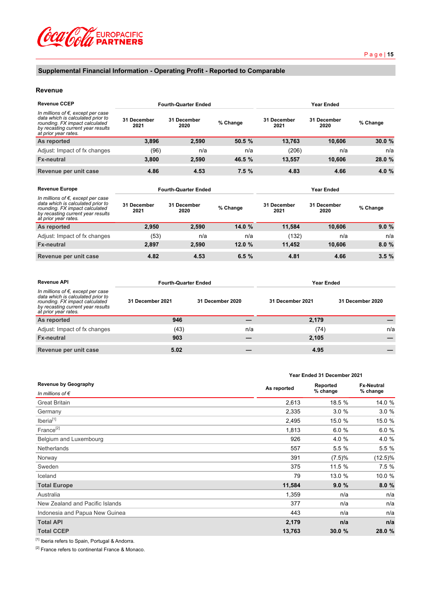

## **Supplemental Financial Information - Operating Profit - Reported to Comparable**

#### **Revenue**

| <b>Revenue CCEP</b>                                                                                                                                                             |                     | <b>Fourth-Quarter Ended</b> |          | <b>Year Ended</b>   |                     |          |  |
|---------------------------------------------------------------------------------------------------------------------------------------------------------------------------------|---------------------|-----------------------------|----------|---------------------|---------------------|----------|--|
| In millions of $\epsilon$ , except per case<br>data which is calculated prior to<br>rounding. FX impact calculated<br>by recasting current year results<br>at prior year rates. | 31 December<br>2021 | 31 December<br>2020         | % Change | 31 December<br>2021 | 31 December<br>2020 | % Change |  |
| As reported                                                                                                                                                                     | 3,896               | 2,590                       | 50.5 %   | 13,763              | 10,606              | 30.0 %   |  |
| Adjust: Impact of fx changes                                                                                                                                                    | (96)                | n/a                         | n/a      | (206)               | n/a                 | n/a      |  |
| <b>Fx-neutral</b>                                                                                                                                                               | 3,800               | 2,590                       | 46.5 %   | 13,557              | 10,606              | 28.0 %   |  |
| Revenue per unit case                                                                                                                                                           | 4.86                | 4.53                        | 7.5%     | 4.83                | 4.66                | 4.0 %    |  |
| <b>Revenue Europe</b>                                                                                                                                                           |                     | <b>Fourth-Quarter Ended</b> |          | Year Ended          |                     |          |  |
| In millions of $\epsilon$ , except per case<br>data which is calculated prior to<br>rounding. FX impact calculated<br>by recasting current year results<br>at prior year rates. | 31 December<br>2021 | 31 December<br>2020         | % Change | 31 December<br>2021 | 31 December<br>2020 | % Change |  |
| As reported                                                                                                                                                                     | 2,950               | 2,590                       | 14.0%    | 11,584              | 10,606              | 9.0%     |  |
| Adjust: Impact of fx changes                                                                                                                                                    | (53)                | n/a                         | n/a      | (132)               | n/a                 | n/a      |  |
| <b>Fx-neutral</b>                                                                                                                                                               | 2,897               | 2,590                       | 12.0%    | 11,452              | 10,606              | 8.0%     |  |
| Revenue per unit case                                                                                                                                                           | 4.82                | 4.53                        | 6.5%     | 4.81                | 4.66                | 3.5%     |  |

| <b>Revenue API</b>                                                                                                                                                              | <b>Fourth-Quarter Ended</b> |                  | <b>Year Ended</b> |                  |  |
|---------------------------------------------------------------------------------------------------------------------------------------------------------------------------------|-----------------------------|------------------|-------------------|------------------|--|
| In millions of $\epsilon$ , except per case<br>data which is calculated prior to<br>rounding. FX impact calculated<br>by recasting current year results<br>at prior year rates. | 31 December 2021            | 31 December 2020 | 31 December 2021  | 31 December 2020 |  |
| As reported                                                                                                                                                                     | 946                         |                  | 2,179             |                  |  |
| Adjust: Impact of fx changes                                                                                                                                                    | (43)                        | n/a              | (74)              | n/a              |  |
| <b>Fx-neutral</b>                                                                                                                                                               | 903                         |                  | 2,105             |                  |  |
| Revenue per unit case                                                                                                                                                           | 5.02                        |                  | 4.95              |                  |  |

|                                 | Year Ended 31 December 2021 |          |                   |  |
|---------------------------------|-----------------------------|----------|-------------------|--|
| <b>Revenue by Geography</b>     | As reported                 | Reported | <b>Fx-Neutral</b> |  |
| In millions of $\epsilon$       |                             | % change | % change          |  |
| <b>Great Britain</b>            | 2,613                       | 18.5 %   | 14.0 %            |  |
| Germany                         | 2,335                       | 3.0%     | 3.0%              |  |
| Iberia <sup>[1]</sup>           | 2,495                       | 15.0 %   | 15.0 %            |  |
| France <sup>[2]</sup>           | 1,813                       | 6.0%     | 6.0%              |  |
| Belgium and Luxembourg          | 926                         | 4.0 %    | 4.0 %             |  |
| <b>Netherlands</b>              | 557                         | 5.5%     | 5.5 %             |  |
| Norway                          | 391                         | (7.5)%   | $(12.5)\%$        |  |
| Sweden                          | 375                         | 11.5 %   | 7.5 %             |  |
| Iceland                         | 79                          | 13.0 %   | 10.0 %            |  |
| <b>Total Europe</b>             | 11,584                      | 9.0%     | 8.0%              |  |
| Australia                       | 1,359                       | n/a      | n/a               |  |
| New Zealand and Pacific Islands | 377                         | n/a      | n/a               |  |
| Indonesia and Papua New Guinea  | 443                         | n/a      | n/a               |  |
| <b>Total API</b>                | 2,179                       | n/a      | n/a               |  |
| <b>Total CCEP</b>               | 13,763                      | 30.0%    | 28.0 %            |  |

[1] Iberia refers to Spain, Portugal & Andorra.

<sup>[2]</sup> France refers to continental France & Monaco.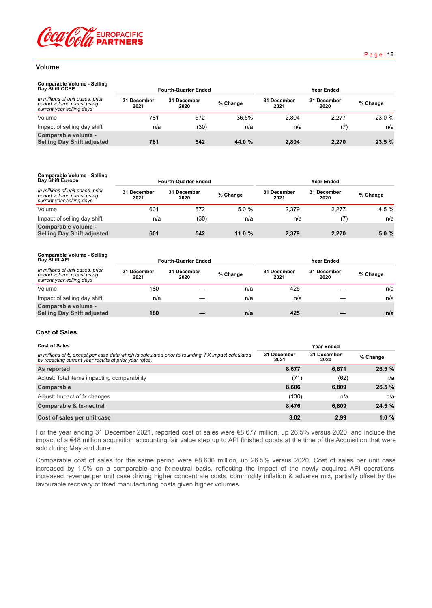

#### **Volume**

## **Comparable Volume - Selling Day Shift CCEP**

| Day Shift CCEP                                                                              | <b>Fourth-Quarter Ended</b> |                            |          | <b>Year Ended</b>          |                            |          |
|---------------------------------------------------------------------------------------------|-----------------------------|----------------------------|----------|----------------------------|----------------------------|----------|
| In millions of unit cases, prior<br>period volume recast using<br>current year selling days | 31 December<br>2021         | <b>31 December</b><br>2020 | % Change | <b>31 December</b><br>2021 | <b>31 December</b><br>2020 | % Change |
| Volume                                                                                      | 781                         | 572                        | 36.5%    | 2.804                      | 2.277                      | 23.0 %   |
| Impact of selling day shift                                                                 | n/a                         | (30)                       | n/a      | n/a                        | $\left( 7\right)$          | n/a      |
| Comparable volume -<br><b>Selling Day Shift adjusted</b>                                    | 781                         | 542                        | 44.0 %   | 2.804                      | 2.270                      | 23.5 %   |

# **Comparable Volume - Selling Day Shift Europe**

| Day Shift Europe                                                                            | <b>Fourth-Quarter Ended</b> |                     |          | <b>Year Ended</b>   |                     |          |
|---------------------------------------------------------------------------------------------|-----------------------------|---------------------|----------|---------------------|---------------------|----------|
| In millions of unit cases, prior<br>period volume recast using<br>current year selling days | 31 December<br>2021         | 31 December<br>2020 | % Change | 31 December<br>2021 | 31 December<br>2020 | % Change |
| Volume                                                                                      | 601                         | 572                 | 5.0%     | 2.379               | 2.277               | 4.5%     |
| Impact of selling day shift                                                                 | n/a                         | (30)                | n/a      | n/a                 | 7)                  | n/a      |
| Comparable volume -<br><b>Selling Day Shift adjusted</b>                                    | 601                         | 542                 | 11.0%    | 2.379               | 2,270               | 5.0%     |

# **Comparable Volume - Selling Day Shift API**

| Dav Shift API                                                                               | <b>Fourth-Quarter Ended</b> |                     |          | <b>Year Ended</b>   |                            |          |
|---------------------------------------------------------------------------------------------|-----------------------------|---------------------|----------|---------------------|----------------------------|----------|
| In millions of unit cases, prior<br>period volume recast using<br>current year selling days | <b>31 December</b><br>2021  | 31 December<br>2020 | % Change | 31 December<br>2021 | <b>31 December</b><br>2020 | % Change |
| Volume                                                                                      | 180                         |                     | n/a      | 425                 |                            | n/a      |
| Impact of selling day shift                                                                 | n/a                         |                     | n/a      | n/a                 |                            | n/a      |
| Comparable volume -<br><b>Selling Day Shift adjusted</b>                                    | 180                         |                     | n/a      | 425                 |                            | n/a      |

#### **Cost of Sales**

| <b>Cost of Sales</b>                                                                                                                                                   | Year Ended          |                     |          |  |
|------------------------------------------------------------------------------------------------------------------------------------------------------------------------|---------------------|---------------------|----------|--|
| In millions of $\epsilon$ , except per case data which is calculated prior to rounding. FX impact calculated<br>by recasting current year results at prior year rates. | 31 December<br>2021 | 31 December<br>2020 | % Change |  |
| As reported                                                                                                                                                            | 8,677               | 6,871               | 26.5 %   |  |
| Adjust: Total items impacting comparability                                                                                                                            | (71)                | (62)                | n/a      |  |
| Comparable                                                                                                                                                             | 8,606               | 6,809               | 26.5 %   |  |
| Adjust: Impact of fx changes                                                                                                                                           | (130)               | n/a                 | n/a      |  |
| Comparable & fx-neutral                                                                                                                                                | 8.476               | 6.809               | 24.5 %   |  |
| Cost of sales per unit case                                                                                                                                            | 3.02                | 2.99                | $1.0 \%$ |  |

For the year ending 31 December 2021, reported cost of sales were €8,677 million, up 26.5% versus 2020, and include the impact of a €48 million acquisition accounting fair value step up to API finished goods at the time of the Acquisition that were sold during May and June.

Comparable cost of sales for the same period were €8,606 million, up 26.5% versus 2020. Cost of sales per unit case increased by 1.0% on a comparable and fx-neutral basis, reflecting the impact of the newly acquired API operations, increased revenue per unit case driving higher concentrate costs, commodity inflation & adverse mix, partially offset by the favourable recovery of fixed manufacturing costs given higher volumes.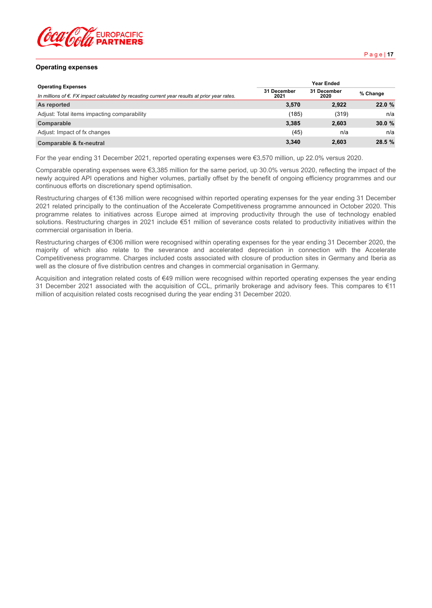

#### **Operating expenses**

| <b>Operating Expenses</b>                                                                               |                     | Year Ended          |          |
|---------------------------------------------------------------------------------------------------------|---------------------|---------------------|----------|
| In millions of $\epsilon$ . FX impact calculated by recasting current year results at prior year rates. | 31 December<br>2021 | 31 December<br>2020 | % Change |
| As reported                                                                                             | 3,570               | 2.922               | 22.0%    |
| Adjust: Total items impacting comparability                                                             | (185)               | (319)               | n/a      |
| Comparable                                                                                              | 3,385               | 2,603               | 30.0%    |
| Adjust: Impact of fx changes                                                                            | (45)                | n/a                 | n/a      |
| Comparable & fx-neutral                                                                                 | 3,340               | 2,603               | 28.5 %   |

For the year ending 31 December 2021, reported operating expenses were €3,570 million, up 22.0% versus 2020.

Comparable operating expenses were €3,385 million for the same period, up 30.0% versus 2020, reflecting the impact of the newly acquired API operations and higher volumes, partially offset by the benefit of ongoing efficiency programmes and our continuous efforts on discretionary spend optimisation.

Restructuring charges of €136 million were recognised within reported operating expenses for the year ending 31 December 2021 related principally to the continuation of the Accelerate Competitiveness programme announced in October 2020. This programme relates to initiatives across Europe aimed at improving productivity through the use of technology enabled solutions. Restructuring charges in 2021 include €51 million of severance costs related to productivity initiatives within the commercial organisation in Iberia.

Restructuring charges of €306 million were recognised within operating expenses for the year ending 31 December 2020, the majority of which also relate to the severance and accelerated depreciation in connection with the Accelerate Competitiveness programme. Charges included costs associated with closure of production sites in Germany and Iberia as well as the closure of five distribution centres and changes in commercial organisation in Germany.

Acquisition and integration related costs of €49 million were recognised within reported operating expenses the year ending 31 December 2021 associated with the acquisition of CCL, primarily brokerage and advisory fees. This compares to  $\epsilon$ 11 million of acquisition related costs recognised during the year ending 31 December 2020.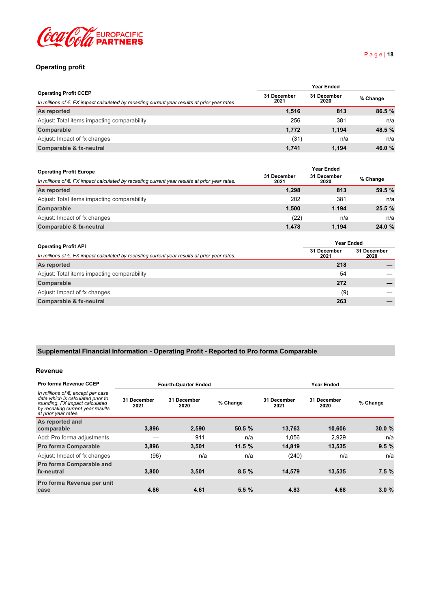

## **Operating profit**

|                                                                                                         |             | <b>Year Ended</b> |          |
|---------------------------------------------------------------------------------------------------------|-------------|-------------------|----------|
| <b>Operating Profit CCEP</b>                                                                            | 31 December | 31 December       |          |
| In millions of $\epsilon$ . FX impact calculated by recasting current year results at prior year rates. | 2021        | 2020              | % Change |
| As reported                                                                                             | 1.516       | 813               | 86.5 %   |
| Adjust: Total items impacting comparability                                                             | 256         | 381               | n/a      |
| Comparable                                                                                              | 1.772       | 1.194             | 48.5 %   |
| Adjust: Impact of fx changes                                                                            | (31)        | n/a               | n/a      |
| Comparable & fx-neutral                                                                                 | 1.741       | 1.194             | 46.0 %   |

| <b>Operating Profit Europe</b>                                                                          | <b>Year Ended</b>          |                     |          |
|---------------------------------------------------------------------------------------------------------|----------------------------|---------------------|----------|
| In millions of $\epsilon$ . FX impact calculated by recasting current year results at prior year rates. | <b>31 December</b><br>2021 | 31 December<br>2020 | % Change |
| As reported                                                                                             | 1,298                      | 813                 | 59.5 %   |
| Adjust: Total items impacting comparability                                                             | 202                        | 381                 | n/a      |
| Comparable                                                                                              | 1.500                      | 1.194               | 25.5%    |
| Adjust: Impact of fx changes                                                                            | (22)                       | n/a                 | n/a      |
| Comparable & fx-neutral                                                                                 | 1.478                      | 1.194               | 24.0 %   |

| <b>Operating Profit API</b>                                                                             | Year Ended          |                     |
|---------------------------------------------------------------------------------------------------------|---------------------|---------------------|
| In millions of $\epsilon$ . FX impact calculated by recasting current year results at prior year rates. | 31 December<br>2021 | 31 December<br>2020 |
| As reported                                                                                             | 218                 |                     |
| Adjust: Total items impacting comparability                                                             | 54                  |                     |
| Comparable                                                                                              | 272                 |                     |
| Adjust: Impact of fx changes                                                                            | (9)                 |                     |
| Comparable & fx-neutral                                                                                 | 263                 |                     |
|                                                                                                         |                     |                     |

## **Supplemental Financial Information - Operating Profit - Reported to Pro forma Comparable**

#### **Revenue**

| Pro forma Revenue CCEP                                                                                                                                                          | <b>Fourth-Quarter Ended</b> |                     |          |                     | Year Ended          |          |  |
|---------------------------------------------------------------------------------------------------------------------------------------------------------------------------------|-----------------------------|---------------------|----------|---------------------|---------------------|----------|--|
| In millions of $\epsilon$ , except per case<br>data which is calculated prior to<br>rounding. FX impact calculated<br>by recasting current year results<br>at prior year rates. | 31 December<br>2021         | 31 December<br>2020 | % Change | 31 December<br>2021 | 31 December<br>2020 | % Change |  |
| As reported and<br>comparable                                                                                                                                                   | 3.896                       | 2.590               | 50.5 %   | 13.763              | 10.606              | 30.0%    |  |
| Add: Pro forma adjustments                                                                                                                                                      |                             | 911                 | n/a      | 1.056               | 2.929               | n/a      |  |
| <b>Pro forma Comparable</b>                                                                                                                                                     | 3.896                       | 3.501               | 11.5%    | 14.819              | 13,535              | 9.5%     |  |
| Adjust: Impact of fx changes                                                                                                                                                    | (96)                        | n/a                 | n/a      | (240)               | n/a                 | n/a      |  |
| Pro forma Comparable and<br>fx-neutral                                                                                                                                          | 3.800                       | 3.501               | 8.5%     | 14.579              | 13.535              | 7.5%     |  |
| Pro forma Revenue per unit<br>case                                                                                                                                              | 4.86                        | 4.61                | 5.5%     | 4.83                | 4.68                | 3.0%     |  |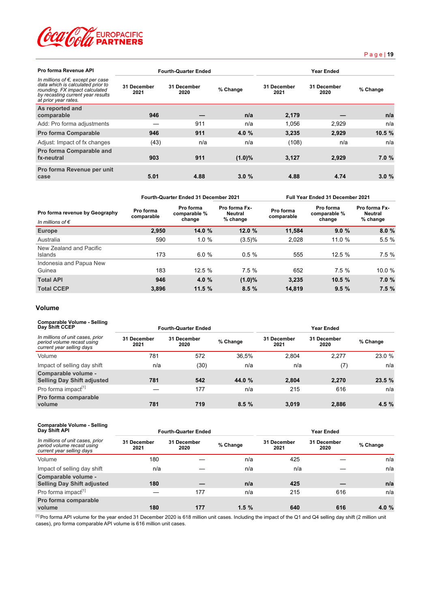

| Pro forma Revenue API                                                                                                                                                           | <b>Fourth-Quarter Ended</b> |                     |           | Year Ended          |                     |          |
|---------------------------------------------------------------------------------------------------------------------------------------------------------------------------------|-----------------------------|---------------------|-----------|---------------------|---------------------|----------|
| In millions of $\epsilon$ , except per case<br>data which is calculated prior to<br>rounding. FX impact calculated<br>by recasting current year results<br>at prior year rates. | <b>31 December</b><br>2021  | 31 December<br>2020 | % Change  | 31 December<br>2021 | 31 December<br>2020 | % Change |
| As reported and                                                                                                                                                                 |                             |                     |           |                     |                     |          |
| comparable                                                                                                                                                                      | 946                         |                     | n/a       | 2,179               |                     | n/a      |
| Add: Pro forma adjustments                                                                                                                                                      |                             | 911                 | n/a       | 1,056               | 2,929               | n/a      |
| <b>Pro forma Comparable</b>                                                                                                                                                     | 946                         | 911                 | 4.0 $%$   | 3.235               | 2,929               | 10.5%    |
| Adjust: Impact of fx changes                                                                                                                                                    | (43)                        | n/a                 | n/a       | (108)               | n/a                 | n/a      |
| Pro forma Comparable and<br>fx-neutral                                                                                                                                          | 903                         | 911                 | $(1.0)\%$ | 3,127               | 2,929               | 7.0%     |
| Pro forma Revenue per unit<br>case                                                                                                                                              | 5.01                        | 4.88                | 3.0%      | 4.88                | 4.74                | 3.0%     |

|                                       | <b>Fourth-Quarter Ended 31 December 2021</b> |                           |                          | <b>Full Year Ended 31 December 2021</b> |                           |                          |  |
|---------------------------------------|----------------------------------------------|---------------------------|--------------------------|-----------------------------------------|---------------------------|--------------------------|--|
| Pro forma revenue by Geography        | Pro forma<br>comparable                      | Pro forma<br>comparable % | Pro forma Fx-<br>Neutral | Pro forma<br>comparable                 | Pro forma<br>comparable % | Pro forma Fx-<br>Neutral |  |
| In millions of $\epsilon$             |                                              | change                    | $%$ change               |                                         | change                    | % change                 |  |
| <b>Europe</b>                         | 2,950                                        | 14.0%                     | 12.0%                    | 11,584                                  | 9.0%                      | 8.0%                     |  |
| Australia                             | 590                                          | 1.0%                      | $(3.5)\%$                | 2.028                                   | 11.0 $%$                  | 5.5 %                    |  |
| New Zealand and Pacific<br>Islands    | 173                                          | 6.0%                      | $0.5 \%$                 | 555                                     | 12.5%                     | 7.5%                     |  |
| Indonesia and Papua New<br>Guinea     | 183                                          | 12.5%                     | 7.5%                     | 652                                     | $7.5 \%$                  | 10.0%                    |  |
| <b>Total API</b><br><b>Total CCEP</b> | 946<br>3.896                                 | 4.0 $%$<br>11.5%          | $(1.0)\%$<br>8.5%        | 3.235<br>14.819                         | 10.5%<br>9.5%             | 7.0%<br>7.5%             |  |
|                                       |                                              |                           |                          |                                         |                           |                          |  |

#### **Volume**

## **Comparable Volume - Selling Day Shift CCEP**

| Day Shift CCEP                                                                              | <b>Fourth-Quarter Ended</b> |                     |          | Year Ended          |                     |          |  |
|---------------------------------------------------------------------------------------------|-----------------------------|---------------------|----------|---------------------|---------------------|----------|--|
| In millions of unit cases, prior<br>period volume recast using<br>current year selling days | 31 December<br>2021         | 31 December<br>2020 | % Change | 31 December<br>2021 | 31 December<br>2020 | % Change |  |
| Volume                                                                                      | 781                         | 572                 | 36,5%    | 2.804               | 2.277               | 23.0 %   |  |
| Impact of selling day shift                                                                 | n/a                         | (30)                | n/a      | n/a                 | (7)                 | n/a      |  |
| Comparable volume -<br><b>Selling Day Shift adjusted</b>                                    | 781                         | 542                 | 44.0 %   | 2.804               | 2,270               | 23.5 %   |  |
| Pro forma impact <sup>[1]</sup>                                                             |                             | 177                 | n/a      | 215                 | 616                 | n/a      |  |
| Pro forma comparable<br>volume                                                              | 781                         | 719                 | 8.5%     | 3.019               | 2,886               | 4.5 $%$  |  |

## **Comparable Volume - Selling Day Shift API**

| Comparable Volume - Selling<br>Day Shift API                                                | <b>Fourth-Quarter Ended</b> |                     |          | <b>Year Ended</b>   |                     |          |
|---------------------------------------------------------------------------------------------|-----------------------------|---------------------|----------|---------------------|---------------------|----------|
| In millions of unit cases, prior<br>period volume recast using<br>current year selling days | 31 December<br>2021         | 31 December<br>2020 | % Change | 31 December<br>2021 | 31 December<br>2020 | % Change |
| Volume                                                                                      | 180                         |                     | n/a      | 425                 |                     | n/a      |
| Impact of selling day shift                                                                 | n/a                         |                     | n/a      | n/a                 |                     | n/a      |
| Comparable volume -<br><b>Selling Day Shift adjusted</b>                                    | 180                         |                     | n/a      | 425                 |                     | n/a      |
| Pro forma impact <sup>[1]</sup>                                                             |                             | 177                 | n/a      | 215                 | 616                 | n/a      |
| Pro forma comparable<br>volume                                                              | 180                         | 177                 | 1.5%     | 640                 | 616                 | 4.0 %    |

<sup>[1]</sup> Pro forma API volume for the year ended 31 December 2020 is 618 million unit cases. Including the impact of the Q1 and Q4 selling day shift (2 million unit cases), pro forma comparable API volume is 616 million unit cases.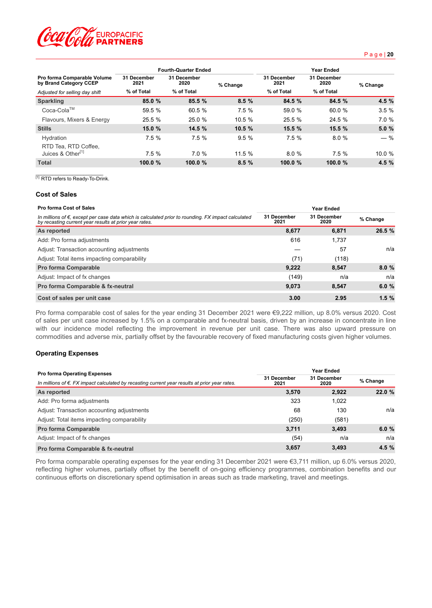

|                                                       |                     | <b>Fourth-Quarter Ended</b> |          |                     | Year Ended          |          |
|-------------------------------------------------------|---------------------|-----------------------------|----------|---------------------|---------------------|----------|
| Pro forma Comparable Volume<br>by Brand Category CCEP | 31 December<br>2021 | 31 December<br>2020         | % Change | 31 December<br>2021 | 31 December<br>2020 | % Change |
| Adjusted for selling day shift                        | % of Total          | % of Total                  |          | % of Total          | % of Total          |          |
| <b>Sparkling</b>                                      | 85.0 %              | 85.5 %                      | 8.5%     | 84.5 %              | 84.5 %              | 4.5 %    |
| Coca-Cola™                                            | 59.5 %              | 60.5 %                      | 7.5%     | 59.0 %              | 60.0 %              | 3.5%     |
| Flavours, Mixers & Energy                             | 25.5 %              | 25.0%                       | 10.5%    | 25.5%               | 24.5 %              | 7.0%     |
| <b>Stills</b>                                         | 15.0 %              | 14.5 %                      | 10.5%    | 15.5 %              | 15.5 %              | 5.0%     |
| Hydration<br>RTD Tea. RTD Coffee.                     | 7.5%                | 7.5%                        | 9.5%     | 7.5%                | 8.0%                | $-$ %    |
| Juices & Other <sup>[1]</sup>                         | 7.5%                | 7.0%                        | 11.5%    | 8.0%                | 7.5%                | 10.0%    |
| <b>Total</b>                                          | 100.0%              | 100.0%                      | 8.5%     | 100.0%              | 100.0 $%$           | 4.5 %    |

[1] RTD refers to Ready-To-Drink.

#### **Cost of Sales**

| <b>Pro forma Cost of Sales</b>                                                                                                                                         |                     | Year Ended          |          |
|------------------------------------------------------------------------------------------------------------------------------------------------------------------------|---------------------|---------------------|----------|
| In millions of $\epsilon$ , except per case data which is calculated prior to rounding. FX impact calculated<br>by recasting current year results at prior year rates. | 31 December<br>2021 | 31 December<br>2020 | % Change |
| As reported                                                                                                                                                            | 8.677               | 6.871               | 26.5 %   |
| Add: Pro forma adjustments                                                                                                                                             | 616                 | 1,737               |          |
| Adjust: Transaction accounting adjustments                                                                                                                             |                     | 57                  | n/a      |
| Adjust: Total items impacting comparability                                                                                                                            | (71)                | (118)               |          |
| <b>Pro forma Comparable</b>                                                                                                                                            | 9.222               | 8.547               | 8.0%     |
| Adjust: Impact of fx changes                                                                                                                                           | (149)               | n/a                 | n/a      |
| Pro forma Comparable & fx-neutral                                                                                                                                      | 9,073               | 8,547               | 6.0%     |
| Cost of sales per unit case                                                                                                                                            | 3.00                | 2.95                | 1.5%     |

Pro forma comparable cost of sales for the year ending 31 December 2021 were €9,222 million, up 8.0% versus 2020. Cost of sales per unit case increased by 1.5% on a comparable and fx-neutral basis, driven by an increase in concentrate in line with our incidence model reflecting the improvement in revenue per unit case. There was also upward pressure on commodities and adverse mix, partially offset by the favourable recovery of fixed manufacturing costs given higher volumes.

#### **Operating Expenses**

| <b>Pro forma Operating Expenses</b>                                                                     | <b>Year Ended</b>   |                     |          |  |
|---------------------------------------------------------------------------------------------------------|---------------------|---------------------|----------|--|
| In millions of $\epsilon$ . FX impact calculated by recasting current year results at prior year rates. | 31 December<br>2021 | 31 December<br>2020 | % Change |  |
| As reported                                                                                             | 3,570               | 2,922               | 22.0 %   |  |
| Add: Pro forma adjustments                                                                              | 323                 | 1,022               |          |  |
| Adjust: Transaction accounting adjustments                                                              | 68                  | 130                 | n/a      |  |
| Adjust: Total items impacting comparability                                                             | (250)               | (581)               |          |  |
| <b>Pro forma Comparable</b>                                                                             | 3.711               | 3,493               | 6.0%     |  |
| Adjust: Impact of fx changes                                                                            | (54)                | n/a                 | n/a      |  |
| Pro forma Comparable & fx-neutral                                                                       | 3,657               | 3.493               | 4.5 $%$  |  |

Pro forma comparable operating expenses for the year ending 31 December 2021 were €3,711 million, up 6.0% versus 2020, reflecting higher volumes, partially offset by the benefit of on-going efficiency programmes, combination benefits and our continuous efforts on discretionary spend optimisation in areas such as trade marketing, travel and meetings.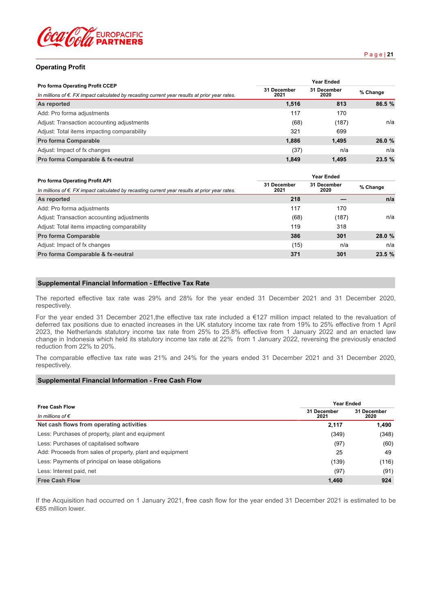

### **Operating Profit**

|                                                                                                                                            | Year Ended          |                     |          |  |
|--------------------------------------------------------------------------------------------------------------------------------------------|---------------------|---------------------|----------|--|
| Pro forma Operating Profit CCEP<br>In millions of $\epsilon$ . FX impact calculated by recasting current year results at prior year rates. | 31 December<br>2021 | 31 December<br>2020 | % Change |  |
| As reported                                                                                                                                | 1.516               | 813                 | 86.5 %   |  |
| Add: Pro forma adjustments                                                                                                                 | 117                 | 170                 |          |  |
| Adjust: Transaction accounting adjustments                                                                                                 | (68)                | (187)               | n/a      |  |
| Adjust: Total items impacting comparability                                                                                                | 321                 | 699                 |          |  |
| <b>Pro forma Comparable</b>                                                                                                                | 1.886               | 1,495               | 26.0 %   |  |
| Adjust: Impact of fx changes                                                                                                               | (37)                | n/a                 | n/a      |  |
| Pro forma Comparable & fx-neutral                                                                                                          | 1.849               | 1.495               | 23.5%    |  |

|                                                                                                                                                  | <b>Year Ended</b>   |                     |          |  |
|--------------------------------------------------------------------------------------------------------------------------------------------------|---------------------|---------------------|----------|--|
| <b>Pro forma Operating Profit API</b><br>In millions of $\epsilon$ . FX impact calculated by recasting current year results at prior year rates. | 31 December<br>2021 | 31 December<br>2020 | % Change |  |
| As reported                                                                                                                                      | 218                 |                     | n/a      |  |
| Add: Pro forma adjustments                                                                                                                       | 117                 | 170                 |          |  |
| Adjust: Transaction accounting adjustments                                                                                                       | (68)                | (187)               | n/a      |  |
| Adjust: Total items impacting comparability                                                                                                      | 119                 | 318                 |          |  |
| <b>Pro forma Comparable</b>                                                                                                                      | 386                 | 301                 | 28.0 %   |  |
| Adjust: Impact of fx changes                                                                                                                     | (15)                | n/a                 | n/a      |  |
| Pro forma Comparable & fx-neutral                                                                                                                | 371                 | 301                 | 23.5%    |  |

#### **Supplemental Financial Information - Effective Tax Rate**

The reported effective tax rate was 29% and 28% for the year ended 31 December 2021 and 31 December 2020, respectively.

For the year ended 31 December 2021, the effective tax rate included a  $E$ 127 million impact related to the revaluation of deferred tax positions due to enacted increases in the UK statutory income tax rate from 19% to 25% effective from 1 April 2023, the Netherlands statutory income tax rate from 25% to 25.8% effective from 1 January 2022 and an enacted law change in Indonesia which held its statutory income tax rate at 22% from 1 January 2022, reversing the previously enacted reduction from 22% to 20%.

The comparable effective tax rate was 21% and 24% for the years ended 31 December 2021 and 31 December 2020, respectively.

#### **Supplemental Financial Information - Free Cash Flow**

| <b>Free Cash Flow</b>                                     | Year Ended          |                     |  |  |
|-----------------------------------------------------------|---------------------|---------------------|--|--|
| In millions of $\epsilon$                                 | 31 December<br>2021 | 31 December<br>2020 |  |  |
| Net cash flows from operating activities                  | 2.117               | 1,490               |  |  |
| Less: Purchases of property, plant and equipment          | (349)               | (348)               |  |  |
| Less: Purchases of capitalised software                   | (97)                | (60)                |  |  |
| Add: Proceeds from sales of property, plant and equipment | 25                  | 49                  |  |  |
| Less: Payments of principal on lease obligations          | (139)               | (116)               |  |  |
| Less: Interest paid, net                                  | (97)                | (91)                |  |  |
| <b>Free Cash Flow</b>                                     | 1.460               | 924                 |  |  |

If the Acquisition had occurred on 1 January 2021, free cash flow for the year ended 31 December 2021 is estimated to be €85 million lower.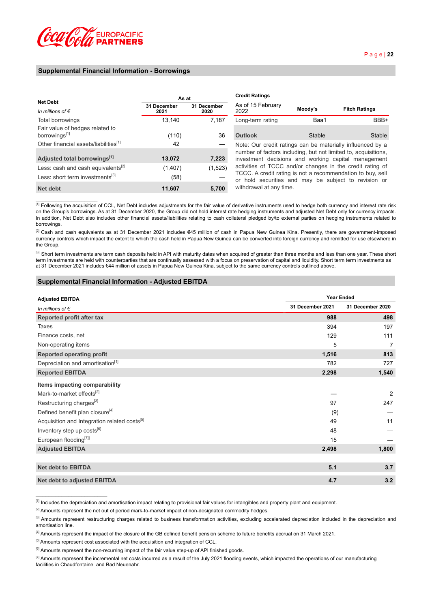

#### **Supplemental Financial Information - Borrowings**

| <b>Net Debt</b>                                  | As at               |                     | <b>Credit Ratings</b>                                      |         |                                                                |
|--------------------------------------------------|---------------------|---------------------|------------------------------------------------------------|---------|----------------------------------------------------------------|
| In millions of $\epsilon$                        | 31 December<br>2021 | 31 December<br>2020 | As of 15 February<br>2022                                  | Moody's | <b>Fitch Ratings</b>                                           |
| Total borrowings                                 | 13.140              | 7.187               | Long-term rating                                           | Baa1    | BBB+                                                           |
| Fair value of hedges related to<br>borrowings[1] | (110)               | 36                  | Outlook                                                    | Stable  | Stable                                                         |
| Other financial assets/liabilities[1]            | 42                  |                     | Note: Our credit ratings can be materially influenced by a |         |                                                                |
| Adjusted total borrowings <sup>[1]</sup>         | 13,072              | 7,223               | investment decisions and working capital management        |         | number of factors including, but not limited to, acquisitions, |
| Less: cash and cash equivalents <sup>[2]</sup>   | (1, 407)            | (1,523)             | activities of TCCC and/or changes in the credit rating of  |         |                                                                |
| Less: short term investments <sup>[3]</sup>      | (58)                |                     | or hold securities and may be subject to revision or       |         | TCCC. A credit rating is not a recommendation to buy, sell     |
| Net debt                                         | 11,607              | 5,700               | withdrawal at any time.                                    |         |                                                                |

 $^{[1]}$  Following the acquisition of CCL, Net Debt includes adjustments for the fair value of derivative instruments used to hedge both currency and interest rate risk on the Group's borrowings. As at 31 December 2020, the Group did not hold interest rate hedging instruments and adjusted Net Debt only for currency impacts. In addition, Net Debt also includes other financial assets/liabilities relating to cash collateral pledged by/to external parties on hedging instruments related to borrowings.

[2] Cash and cash equivalents as at 31 December 2021 includes €45 million of cash in Papua New Guinea Kina. Presently, there are government-imposed currency controls which impact the extent to which the cash held in Papua New Guinea can be converted into foreign currency and remitted for use elsewhere in the Group.

<sup>[3]</sup> Short term investments are term cash deposits held in API with maturity dates when acquired of greater than three months and less than one year. These short term investments are held with counterparties that are continually assessed with a focus on preservation of capital and liquidity. Short term term investments as<br>at 31 December 2021 includes €44 million of assets in Papua

#### **Supplemental Financial Information - Adjusted EBITDA**

| <b>Adjusted EBITDA</b>                                   | <b>Year Ended</b> |                  |  |  |
|----------------------------------------------------------|-------------------|------------------|--|--|
| In millions of $\epsilon$                                | 31 December 2021  | 31 December 2020 |  |  |
| Reported profit after tax                                | 988               | 498              |  |  |
| <b>Taxes</b>                                             | 394               | 197              |  |  |
| Finance costs, net                                       | 129               | 111              |  |  |
| Non-operating items                                      | 5                 | 7                |  |  |
| <b>Reported operating profit</b>                         | 1,516             | 813              |  |  |
| Depreciation and amortisation <sup>[1]</sup>             | 782               | 727              |  |  |
| <b>Reported EBITDA</b>                                   | 2,298             | 1,540            |  |  |
| Items impacting comparability                            |                   |                  |  |  |
| Mark-to-market effects <sup>[2]</sup>                    |                   | 2                |  |  |
| Restructuring charges <sup>[3]</sup>                     | 97                | 247              |  |  |
| Defined benefit plan closure <sup>[4]</sup>              | (9)               |                  |  |  |
| Acquisition and Integration related costs <sup>[5]</sup> | 49                | 11               |  |  |
| Inventory step up costs <sup>[6]</sup>                   | 48                |                  |  |  |
| European flooding <sup>[7]]</sup>                        | 15                |                  |  |  |
| <b>Adjusted EBITDA</b>                                   | 2,498             | 1,800            |  |  |
|                                                          |                   |                  |  |  |
| <b>Net debt to EBITDA</b>                                | 5.1               | 3.7              |  |  |
| <b>Net debt to adjusted EBITDA</b>                       | 4.7               | 3.2              |  |  |

<sup>[1]</sup> Includes the depreciation and amortisation impact relating to provisional fair values for intangibles and property plant and equipment.

 $\mathcal{L}_\text{max}$ 

P a g e | **22**

<sup>&</sup>lt;sup>[2]</sup> Amounts represent the net out of period mark-to-market impact of non-designated commodity hedges.

<sup>&</sup>lt;sup>[3]</sup> Amounts represent restructuring charges related to business transformation activities, excluding accelerated depreciation included in the depreciation and amortisation line.

<sup>[4]</sup> Amounts represent the impact of the closure of the GB defined benefit pension scheme to future benefits accrual on 31 March 2021.

<sup>&</sup>lt;sup>[5]</sup> Amounts represent cost associated with the acquisition and integration of CCL.

<sup>&</sup>lt;sup>[6]</sup> Amounts represent the non-recurring impact of the fair value step-up of API finished goods.

<sup>[7]</sup> Amounts represent the incremental net costs incurred as a result of the July 2021 flooding events, which impacted the operations of our manufacturing facilities in Chaudfontaine and Bad Neuenahr.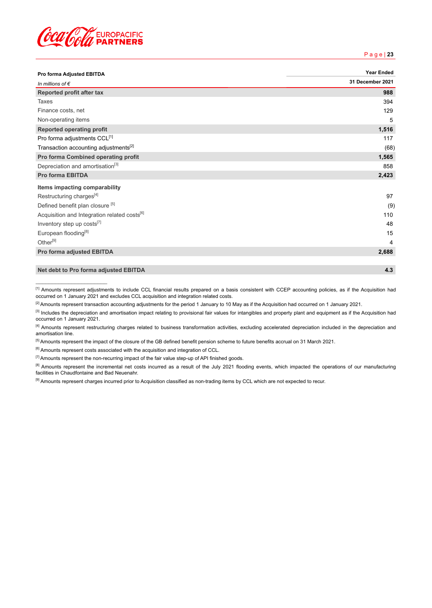

| Pro forma Adjusted EBITDA                                | <b>Year Ended</b> |
|----------------------------------------------------------|-------------------|
| In millions of $\epsilon$                                | 31 December 2021  |
| <b>Reported profit after tax</b>                         | 988               |
| <b>Taxes</b>                                             | 394               |
| Finance costs, net                                       | 129               |
| Non-operating items                                      | 5                 |
| <b>Reported operating profit</b>                         | 1,516             |
| Pro forma adjustments CCL[1]                             | 117               |
| Transaction accounting adjustments <sup>[2]</sup>        | (68)              |
| Pro forma Combined operating profit                      | 1,565             |
| Depreciation and amortisation <sup>[3]</sup>             | 858               |
| <b>Pro forma EBITDA</b>                                  | 2,423             |
| Items impacting comparability                            |                   |
| Restructuring charges <sup>[4]</sup>                     | 97                |
| Defined benefit plan closure [5]                         | (9)               |
| Acquisition and Integration related costs <sup>[6]</sup> | 110               |
| Inventory step up costs <sup>[7]</sup>                   | 48                |
| European flooding <sup>[8]</sup>                         | 15                |
| Other <sup>[9]</sup>                                     | 4                 |
| Pro forma adjusted EBITDA                                | 2,688             |
|                                                          |                   |
| Net debt to Pro forma adjusted EBITDA                    | 4.3               |

 $\_$ <sup>[1]</sup> Amounts represent adjustments to include CCL financial results prepared on a basis consistent with CCEP accounting policies, as if the Acquisition had occurred on 1 January 2021 and excludes CCL acquisition and integration related costs.

<sup>[6]</sup> Amounts represent costs associated with the acquisition and integration of CCL.

<sup>[7]</sup> Amounts represent the non-recurring impact of the fair value step-up of API finished goods.

<sup>[8]</sup> Amounts represent the incremental net costs incurred as a result of the July 2021 flooding events, which impacted the operations of our manufacturing facilities in Chaudfontaine and Bad Neuenahr.

<sup>[9]</sup> Amounts represent charges incurred prior to Acquisition classified as non-trading items by CCL which are not expected to recur.

<sup>&</sup>lt;sup>[2]</sup> Amounts represent transaction accounting adjustments for the period 1 January to 10 May as if the Acquisition had occurred on 1 January 2021.

<sup>[3]</sup> Includes the depreciation and amortisation impact relating to provisional fair values for intangibles and property plant and equipment as if the Acquisition had occurred on 1 January 2021.

<sup>&</sup>lt;sup>[4]</sup> Amounts represent restructuring charges related to business transformation activities, excluding accelerated depreciation included in the depreciation and amortisation line.

<sup>&</sup>lt;sup>[5]</sup> Amounts represent the impact of the closure of the GB defined benefit pension scheme to future benefits accrual on 31 March 2021.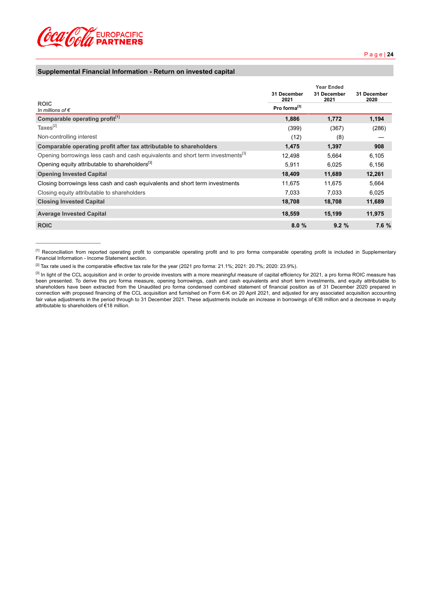

 $\_$ 

#### **Supplemental Financial Information - Return on invested capital**

|                                                                                             | 31 December<br>2021 | <b>Year Ended</b><br>31 December<br>2021 | 31 December<br>2020 |
|---------------------------------------------------------------------------------------------|---------------------|------------------------------------------|---------------------|
| <b>ROIC</b><br>In millions of $\epsilon$                                                    | Pro forma $^{[3]}$  |                                          |                     |
| Comparable operating profit <sup>[1]</sup>                                                  | 1,886               | 1,772                                    | 1,194               |
| Taxes <sup>[2]</sup>                                                                        | (399)               | (367)                                    | (286)               |
| Non-controlling interest                                                                    | (12)                | (8)                                      |                     |
| Comparable operating profit after tax attributable to shareholders                          | 1,475               | 1,397                                    | 908                 |
| Opening borrowings less cash and cash equivalents and short term investments <sup>[3]</sup> | 12,498              | 5,664                                    | 6,105               |
| Opening equity attributable to shareholders <sup>[3]</sup>                                  | 5,911               | 6.025                                    | 6,156               |
| <b>Opening Invested Capital</b>                                                             | 18,409              | 11,689                                   | 12,261              |
| Closing borrowings less cash and cash equivalents and short term investments                | 11,675              | 11,675                                   | 5,664               |
| Closing equity attributable to shareholders                                                 | 7,033               | 7.033                                    | 6,025               |
| <b>Closing Invested Capital</b>                                                             | 18,708              | 18,708                                   | 11,689              |
| <b>Average Invested Capital</b>                                                             | 18,559              | 15,199                                   | 11,975              |
| <b>ROIC</b>                                                                                 | 8.0%                | 9.2%                                     | 7.6 %               |

<sup>[1]</sup> Reconciliation from reported operating profit to comparable operating profit and to pro forma comparable operating profit is included in Supplementary Financial Information - Income Statement section.

 $[2]$  Tax rate used is the comparable effective tax rate for the year (2021 pro forma: 21.1%; 2021: 20.7%; 2020: 23.9%).

[3] In light of the CCL acquisition and in order to provide investors with a more meaningful measure of capital efficiency for 2021, a pro forma ROIC measure has been presented. To derive this pro forma measure, opening borrowings, cash and cash equivalents and short term investments, and equity attributable to shareholders have been extracted from the Unaudited pro forma condensed combined statement of financial position as of 31 December 2020 prepared in connection with proposed financing of the CCL acquisition and furnished on Form 6-K on 20 April 2021, and adjusted for any associated acquisition accounting fair value adjustments in the period through to 31 December 2021. These adjustments include an increase in borrowings of €38 million and a decrease in equity attributable to shareholders of €18 million.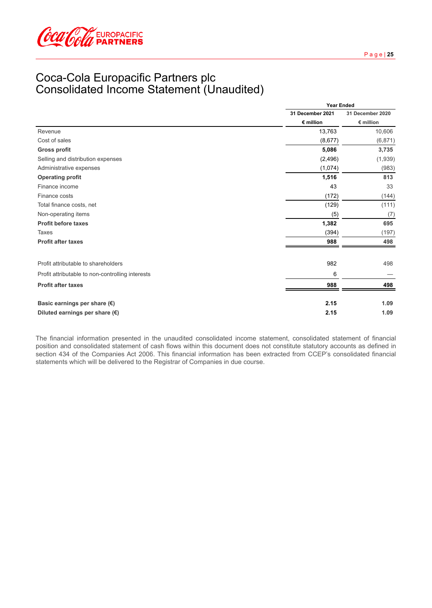

# Coca-Cola Europacific Partners plc Consolidated Income Statement (Unaudited)

|                                                  |                    | <b>Year Ended</b>  |  |  |
|--------------------------------------------------|--------------------|--------------------|--|--|
|                                                  | 31 December 2021   | 31 December 2020   |  |  |
|                                                  | $\epsilon$ million | $\epsilon$ million |  |  |
| Revenue                                          | 13,763             | 10,606             |  |  |
| Cost of sales                                    | (8,677)            | (6, 871)           |  |  |
| <b>Gross profit</b>                              | 5,086              | 3,735              |  |  |
| Selling and distribution expenses                | (2, 496)           | (1,939)            |  |  |
| Administrative expenses                          | (1,074)            | (983)              |  |  |
| <b>Operating profit</b>                          | 1,516              | 813                |  |  |
| Finance income                                   | 43                 | 33                 |  |  |
| Finance costs                                    | (172)              | (144)              |  |  |
| Total finance costs, net                         | (129)              | (111)              |  |  |
| Non-operating items                              | (5)                | (7)                |  |  |
| <b>Profit before taxes</b>                       | 1,382              | 695                |  |  |
| <b>Taxes</b>                                     | (394)              | (197)              |  |  |
| <b>Profit after taxes</b>                        | 988                | 498                |  |  |
| Profit attributable to shareholders              | 982                | 498                |  |  |
| Profit attributable to non-controlling interests | 6                  |                    |  |  |
| <b>Profit after taxes</b>                        | 988                | 498                |  |  |
| Basic earnings per share $(\epsilon)$            | 2.15               | 1.09               |  |  |
| Diluted earnings per share $(\epsilon)$          | 2.15               | 1.09               |  |  |

The financial information presented in the unaudited consolidated income statement, consolidated statement of financial position and consolidated statement of cash flows within this document does not constitute statutory accounts as defined in section 434 of the Companies Act 2006. This financial information has been extracted from CCEP's consolidated financial statements which will be delivered to the Registrar of Companies in due course.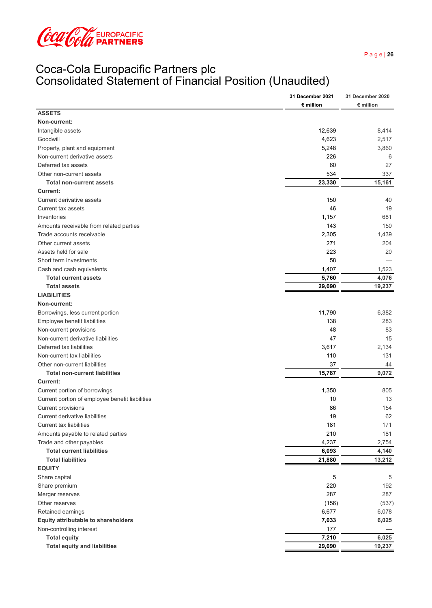

# Coca-Cola Europacific Partners plc Consolidated Statement of Financial Position (Unaudited)

|                                                 | 31 December 2021   | 31 December 2020   |
|-------------------------------------------------|--------------------|--------------------|
|                                                 | $\epsilon$ million | $\epsilon$ million |
| <b>ASSETS</b>                                   |                    |                    |
| Non-current:                                    |                    |                    |
| Intangible assets                               | 12,639             | 8,414              |
| Goodwill                                        | 4,623              | 2,517              |
| Property, plant and equipment                   | 5,248              | 3,860              |
| Non-current derivative assets                   | 226                | 6                  |
| Deferred tax assets                             | 60                 | 27                 |
| Other non-current assets                        | 534                | 337                |
| <b>Total non-current assets</b>                 | 23,330             | 15,161             |
| Current:                                        |                    |                    |
| Current derivative assets                       | 150                | 40                 |
| Current tax assets                              | 46                 | 19                 |
| Inventories                                     | 1,157              | 681                |
| Amounts receivable from related parties         | 143                | 150                |
| Trade accounts receivable                       | 2,305              | 1,439              |
| Other current assets                            | 271                | 204                |
| Assets held for sale                            | 223                | 20                 |
| Short term investments                          | 58                 |                    |
| Cash and cash equivalents                       | 1,407              | 1,523              |
| <b>Total current assets</b>                     | 5,760              | 4,076              |
| <b>Total assets</b>                             | 29,090             | 19,237             |
| <b>LIABILITIES</b>                              |                    |                    |
| Non-current:                                    |                    |                    |
| Borrowings, less current portion                | 11,790             | 6,382              |
| Employee benefit liabilities                    | 138                | 283                |
| Non-current provisions                          | 48                 | 83                 |
| Non-current derivative liabilities              | 47                 | 15                 |
| Deferred tax liabilities                        | 3,617              | 2,134              |
| Non-current tax liabilities                     | 110                | 131                |
| Other non-current liabilities                   | 37                 | 44                 |
| <b>Total non-current liabilities</b>            | 15,787             | 9,072              |
| Current:                                        |                    |                    |
| Current portion of borrowings                   | 1,350              | 805                |
| Current portion of employee benefit liabilities | 10                 | 13                 |
| Current provisions                              | 86                 | 154                |
| Current derivative liabilities                  | 19                 | 62                 |
| <b>Current tax liabilities</b>                  | 181                | 171                |
| Amounts payable to related parties              | 210                | 181                |
| Trade and other payables                        | 4,237              | 2,754              |
| <b>Total current liabilities</b>                | 6,093              | 4,140              |
| <b>Total liabilities</b>                        | 21,880             | 13,212             |
| <b>EQUITY</b>                                   |                    |                    |
| Share capital                                   | 5                  | 5                  |
| Share premium                                   | 220                | 192                |
| Merger reserves                                 | 287                | 287                |
| Other reserves                                  | (156)              | (537)              |
| Retained earnings                               | 6,677              | 6,078              |
| <b>Equity attributable to shareholders</b>      | 7,033              | 6,025              |
| Non-controlling interest                        | 177                |                    |
| <b>Total equity</b>                             | 7,210              | 6,025              |
| <b>Total equity and liabilities</b>             | 29,090             | 19,237             |
|                                                 |                    |                    |